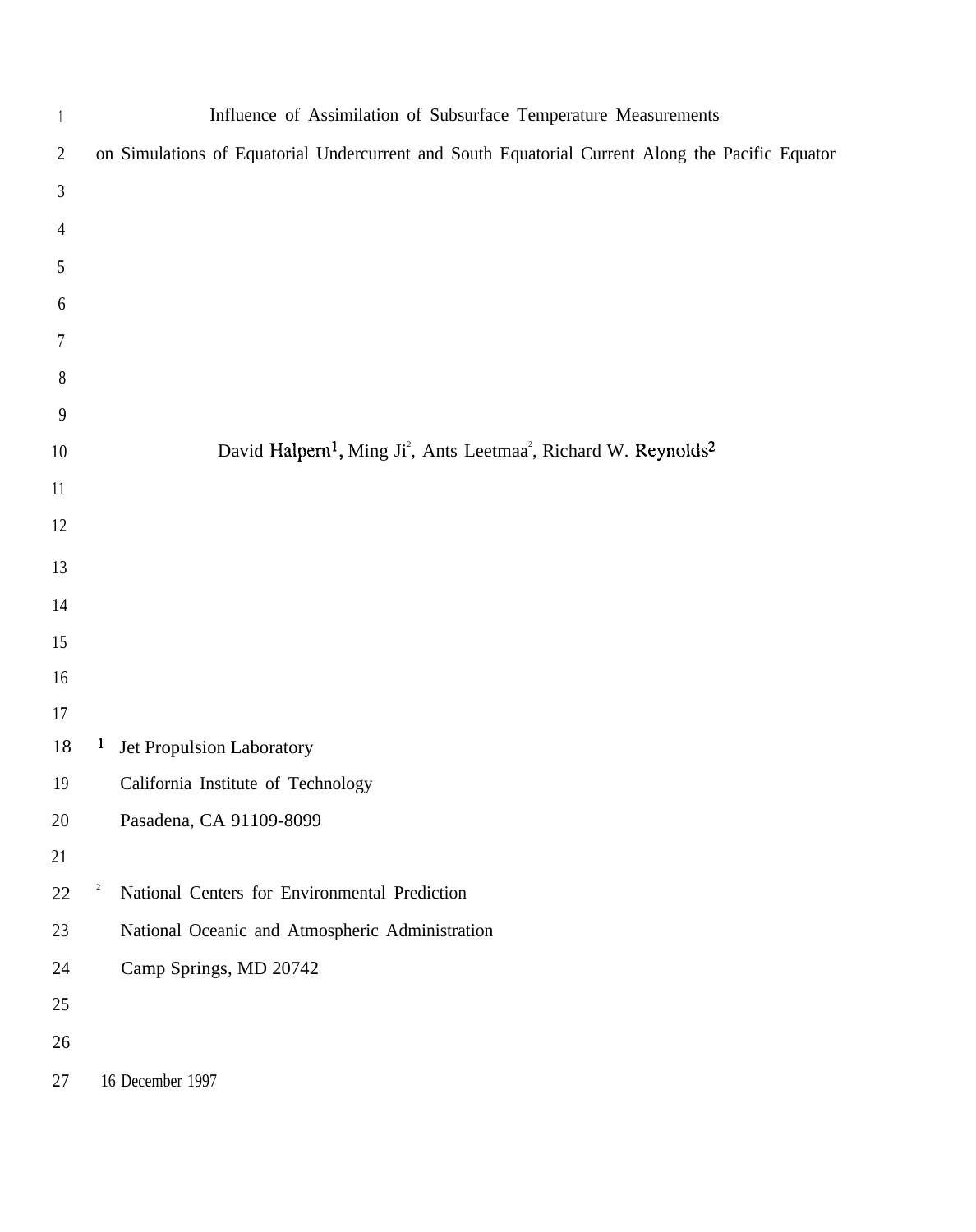| $\mathbf{1}$   |                         | Influence of Assimilation of Subsurface Temperature Measurements                                                 |
|----------------|-------------------------|------------------------------------------------------------------------------------------------------------------|
| $\overline{2}$ |                         | on Simulations of Equatorial Undercurrent and South Equatorial Current Along the Pacific Equator                 |
| 3              |                         |                                                                                                                  |
| $\overline{4}$ |                         |                                                                                                                  |
| 5              |                         |                                                                                                                  |
| 6              |                         |                                                                                                                  |
| 7              |                         |                                                                                                                  |
| $8\phantom{.}$ |                         |                                                                                                                  |
| 9              |                         |                                                                                                                  |
| $10\,$         |                         | David Halpern <sup>1</sup> , Ming Ji <sup>2</sup> , Ants Leetmaa <sup>2</sup> , Richard W. Reynolds <sup>2</sup> |
| $11\,$         |                         |                                                                                                                  |
| 12             |                         |                                                                                                                  |
| 13             |                         |                                                                                                                  |
| 14             |                         |                                                                                                                  |
| 15             |                         |                                                                                                                  |
| 16             |                         |                                                                                                                  |
| 17             |                         |                                                                                                                  |
| 18             | $\mathbf{I}$            | Jet Propulsion Laboratory                                                                                        |
| 19             |                         | California Institute of Technology                                                                               |
| 20             |                         | Pasadena, CA 91109-8099                                                                                          |
| 21             |                         |                                                                                                                  |
| $22\,$         | $\overline{\mathbf{c}}$ | National Centers for Environmental Prediction                                                                    |
| 23             |                         | National Oceanic and Atmospheric Administration                                                                  |
| 24             |                         | Camp Springs, MD 20742                                                                                           |
| $25\,$         |                         |                                                                                                                  |
| 26             |                         |                                                                                                                  |
| 27             |                         | 16 December 1997                                                                                                 |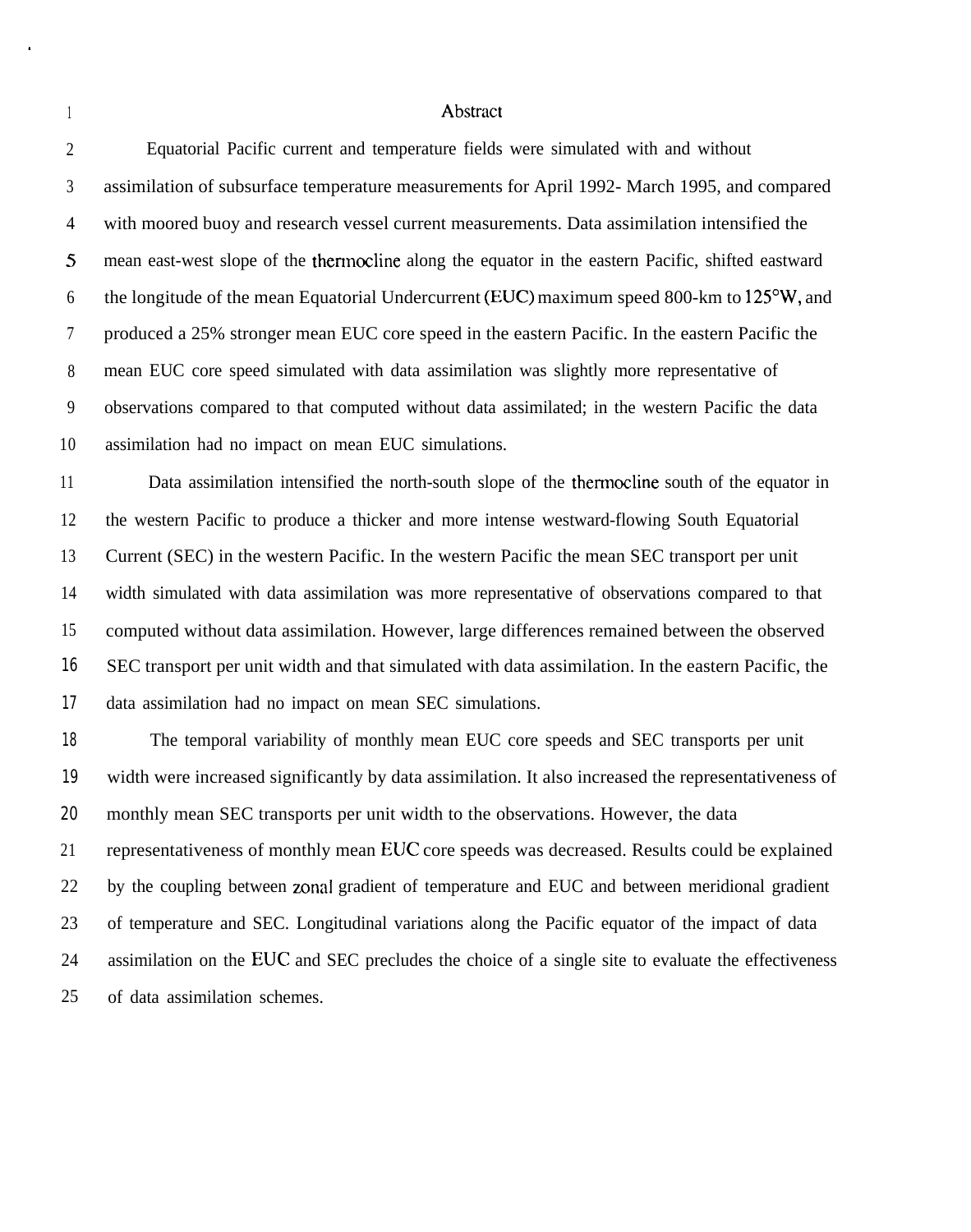1

 $\blacksquare$ 

## Abstract

| $\overline{2}$ | Equatorial Pacific current and temperature fields were simulated with and without                    |
|----------------|------------------------------------------------------------------------------------------------------|
| 3              | assimilation of subsurface temperature measurements for April 1992- March 1995, and compared         |
| $\overline{4}$ | with moored buoy and research vessel current measurements. Data assimilation intensified the         |
| $\mathfrak{S}$ | mean east-west slope of the thermocline along the equator in the eastern Pacific, shifted eastward   |
| 6              | the longitude of the mean Equatorial Undercurrent (EUC) maximum speed 800-km to 125°W, and           |
| $\overline{7}$ | produced a 25% stronger mean EUC core speed in the eastern Pacific. In the eastern Pacific the       |
| 8              | mean EUC core speed simulated with data assimilation was slightly more representative of             |
| 9              | observations compared to that computed without data assimilated; in the western Pacific the data     |
| 10             | assimilation had no impact on mean EUC simulations.                                                  |
| 11             | Data assimilation intensified the north-south slope of the thermocline south of the equator in       |
| 12             | the western Pacific to produce a thicker and more intense westward-flowing South Equatorial          |
| 13             | Current (SEC) in the western Pacific. In the western Pacific the mean SEC transport per unit         |
| 14             | width simulated with data assimilation was more representative of observations compared to that      |
| 15             | computed without data assimilation. However, large differences remained between the observed         |
| 16             | SEC transport per unit width and that simulated with data assimilation. In the eastern Pacific, the  |
| 17             | data assimilation had no impact on mean SEC simulations.                                             |
| 18             | The temporal variability of monthly mean EUC core speeds and SEC transports per unit                 |
| 19             | width were increased significantly by data assimilation. It also increased the representativeness of |
| 20             | monthly mean SEC transports per unit width to the observations. However, the data                    |
| 21             | representativeness of monthly mean EUC core speeds was decreased. Results could be explained         |
| 22             | by the coupling between zonal gradient of temperature and EUC and between meridional gradient        |
| 23             | of temperature and SEC. Longitudinal variations along the Pacific equator of the impact of data      |
|                |                                                                                                      |

24 25 assimilation on the EUC and SEC precludes the choice of a single site to evaluate the effectiveness of data assimilation schemes.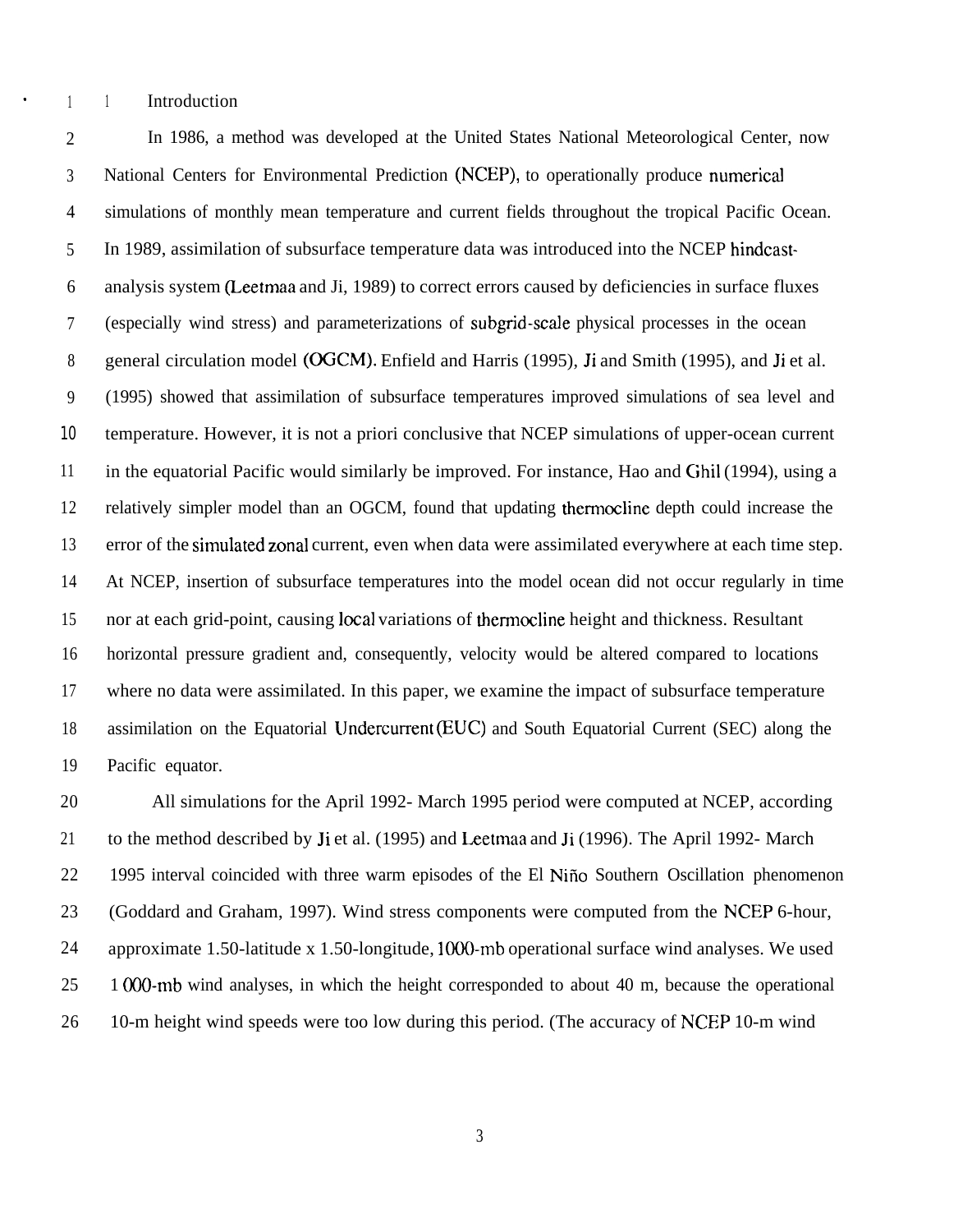. <sup>1</sup> <sup>1</sup> Introduction

2 3 4 5 6 7 8 9 10 11 12 13 14 15 16 17 18 19 In 1986, a method was developed at the United States National Meteorological Center, now National Centers for Environmental Prediction (NCEP), to operationally produce numericaJ simulations of monthly mean temperature and current fields throughout the tropical Pacific Ocean. In 1989, assimilation of subsurface temperature data was introduced into the NCEP hindcastanalysis system (Leetmaa and Ji, 1989) to correct errors caused by deficiencies in surface fluxes (especially wind stress) and parameterizations of subgrid-scale physical processes in the ocean general circulation model (OGCM). Enfield and Harris (1995), Ji and Smith (1995), and Ji et al. (1995) showed that assimilation of subsurface temperatures improved simulations of sea level and temperature. However, it is not a priori conclusive that NCEP simulations of upper-ocean current in the equatorial Pacific would similarly be improved. For instance, Hao and Ghil (1994), using a relatively simpler model than an OGCM, found that updating thermocline depth could increase the error of the simulated zonal current, even when data were assimilated everywhere at each time step. At NCEP, insertion of subsurface temperatures into the model ocean did not occur regularly in time nor at each grid-point, causing local variations of thermocline height and thickness. Resultant horizontal pressure gradient and, consequently, velocity would be altered compared to locations where no data were assimilated. In this paper, we examine the impact of subsurface temperature assimilation on the Equatorial Undercurrent (EUC) and South Equatorial Current (SEC) along the Pacific equator.

20 21 22 23 24 25 26 All simulations for the April 1992- March 1995 period were computed at NCEP, according to the method described by Ji et al. (1995) and Leetmaa and Ji (1996). The April 1992- March 1995 interval coincided with three warm episodes of the El Niño Southern Oscillation phenomenon (Goddard and Graham, 1997). Wind stress components were computed from the NCEP 6-hour, approximate 1.50-latitude x 1.50-longitude, 1000-mb operational surface wind analyses. We used 1 (K)O-mb wind analyses, in which the height corresponded to about 40 m, because the operational 10-m height wind speeds were too low during this period. (The accuracy of NCEP 10-m wind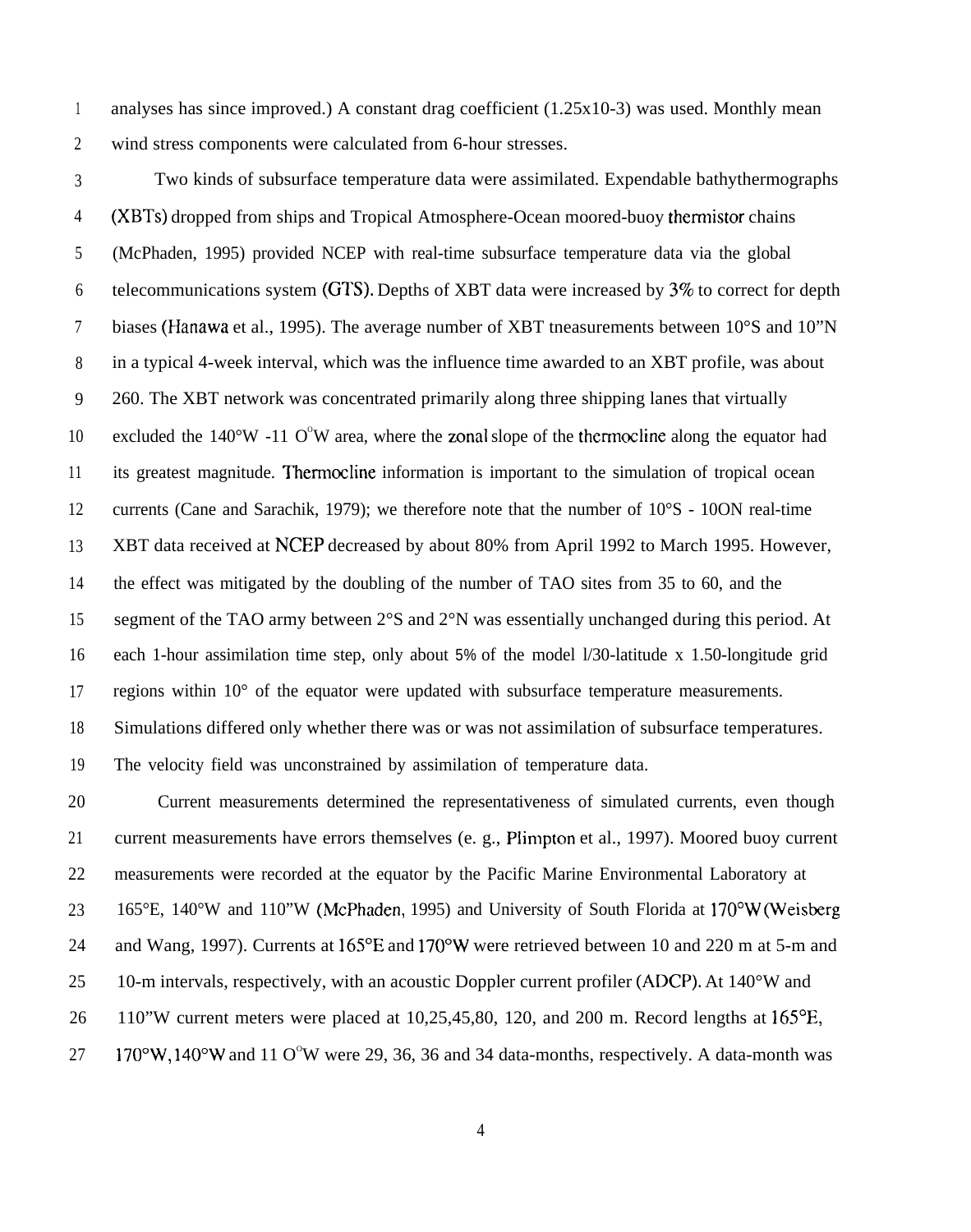1 2 analyses has since improved.) A constant drag coefficient (1.25x10-3) was used. Monthly mean wind stress components were calculated from 6-hour stresses.

3 4 5 6 7 8 9 10 11 12 13 14 15 16 17 18 19 Two kinds of subsurface temperature data were assimilated. Expendable bathythermographs (XBTs) dropped from ships and Tropical Atmosphere-Ocean moored-buoy thermistor chains (McPhaden, 1995) provided NCEP with real-time subsurface temperature data via the global telecommunications system (GTS). Depths of XBT data were increased by  $3\%$  to correct for depth biases (Hanawa et al., 1995). The average number of XBT tneasurements between 10°S and 10"N in a typical 4-week interval, which was the influence time awarded to an XBT profile, was about 260. The XBT network was concentrated primarily along three shipping lanes that virtually excluded the  $140^{\circ}W - 110^{\circ}W$  area, where the zonal slope of the thermocline along the equator had its greatest magnitude. Thermocline information is important to the simulation of tropical ocean currents (Cane and Sarachik, 1979); we therefore note that the number of 10°S - 10ON real-time XBT data received at NCEP decreased by about 80% from April 1992 to March 1995. However, the effect was mitigated by the doubling of the number of TAO sites from 35 to 60, and the segment of the TAO army between 2°S and 2°N was essentially unchanged during this period. At each 1-hour assimilation time step, only about 5% of the model l/30-latitude x 1.50-longitude grid regions within 10° of the equator were updated with subsurface temperature measurements. Simulations differed only whether there was or was not assimilation of subsurface temperatures. The velocity field was unconstrained by assimilation of temperature data.

20 21 22 23 24 25 26 27 Current measurements determined the representativeness of simulated currents, even though current measurements have errors themselves (e. g., Plimpton et al., 1997). Moored buoy current measurements were recorded at the equator by the Pacific Marine Environmental Laboratory at 165°E, 140°W and 110"W (McPhaden, 1995) and University of South Florida at 170°W (Weisberg and Wang, 1997). Currents at 165°E and 170°W were retrieved between 10 and 220 m at 5-m and 10-m intervals, respectively, with an acoustic Doppler current profiler (ADCP). At 140°W and 110"W current meters were placed at 10,25,45,80, 120, and 200 m. Record lengths at 165°E,  $170^{\circ}$ W,  $140^{\circ}$ W and  $110^{\circ}$ W were 29, 36, 36 and 34 data-months, respectively. A data-month was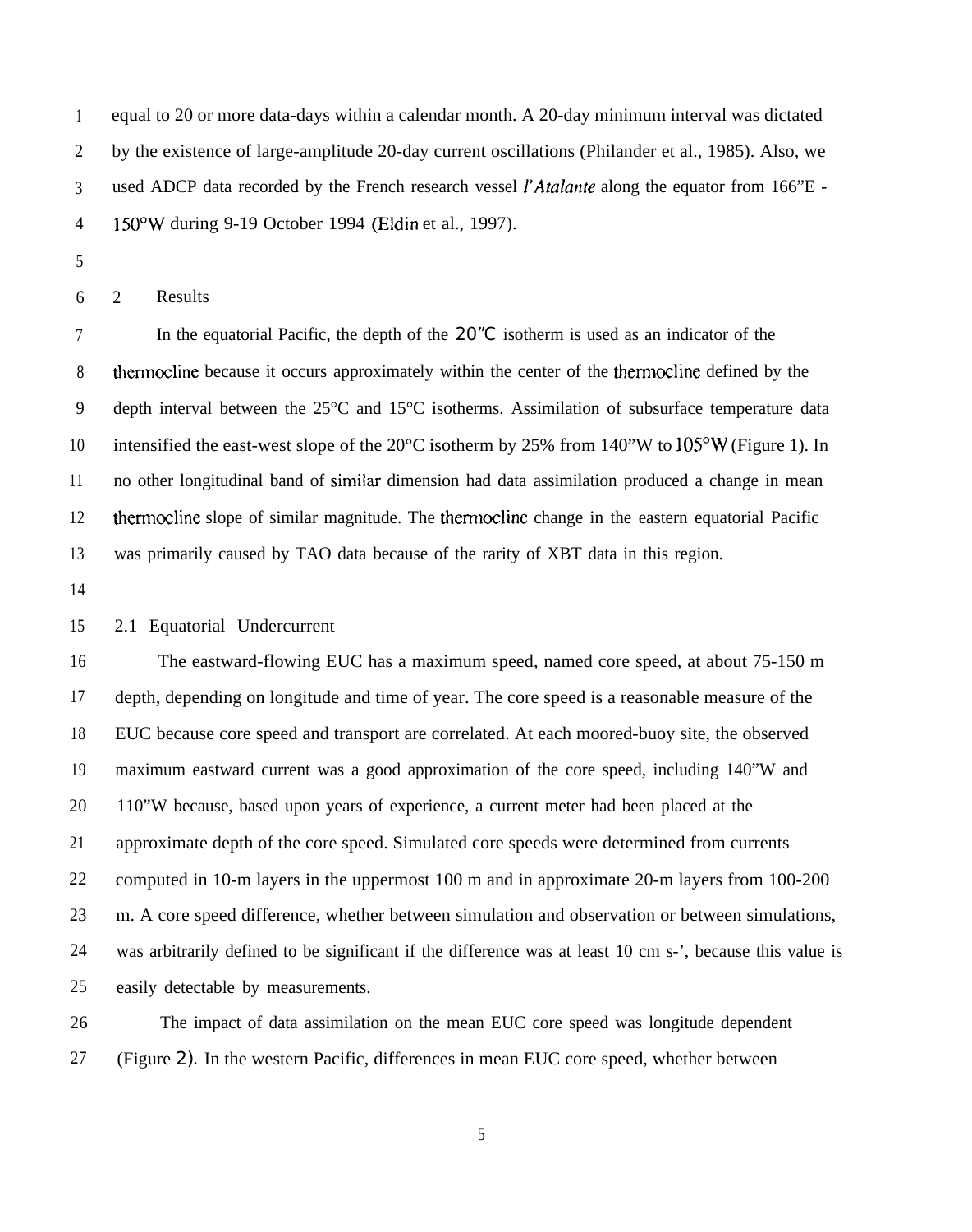1 2 3 4 equal to 20 or more data-days within a calendar month. A 20-day minimum interval was dictated by the existence of large-amplitude 20-day current oscillations (Philander et al., 1985). Also, we used ADCP data recorded by the French research vessel *l'Atalante* along the equator from 166"E -150"W during 9-19 October 1994 (Eldin et al., 1997).

5

6 2 Results

7 8 9 10 11 12 13 In the equatorial Pacific, the depth of the 20<sup>"</sup>C isotherm is used as an indicator of the thermocline because it occurs approximately within the center of the thermocline defined by the depth interval between the 25°C and 15°C isotherms. Assimilation of subsurface temperature data intensified the east-west slope of the  $20^{\circ}$ C isotherm by 25% from 140"W to  $105^{\circ}$ W (Figure 1). In no other longitudinal band of similar dimension had data assimilation produced a change in mean therrnocline slope of similar magnitude. The therrnocline change in the eastern equatorial Pacific was primarily caused by TAO data because of the rarity of XBT data in this region.

14

## 15 2.1 Equatorial Undercurrent

16 17 18 19 20 21 22 23 24 25 The eastward-flowing EUC has a maximum speed, named core speed, at about 75-150 m depth, depending on longitude and time of year. The core speed is a reasonable measure of the EUC because core speed and transport are correlated. At each moored-buoy site, the observed maximum eastward current was a good approximation of the core speed, including 140"W and 110"W because, based upon years of experience, a current meter had been placed at the approximate depth of the core speed. Simulated core speeds were determined from currents computed in 10-m layers in the uppermost 100 m and in approximate 20-m layers from 100-200 m. A core speed difference, whether between simulation and observation or between simulations, was arbitrarily defined to be significant if the difference was at least 10 cm s-', because this value is easily detectable by measurements.

26 27 The impact of data assimilation on the mean EUC core speed was longitude dependent (Figure 2). In the western Pacific, differences in mean EUC core speed, whether between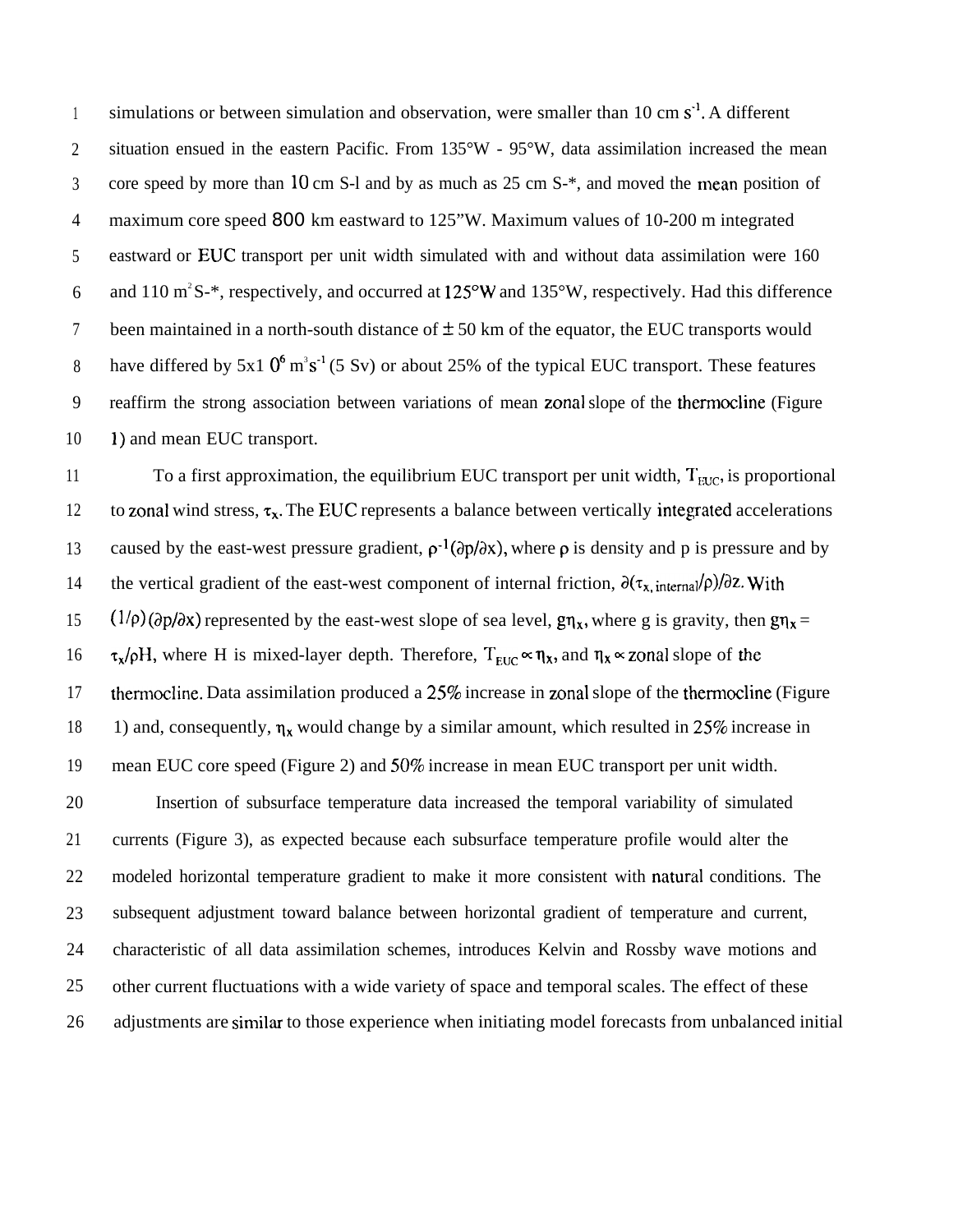1 2 3 4 5 6 7 8 9 10 simulations or between simulation and observation, were smaller than 10 cm  $s^{-1}$ . A different situation ensued in the eastern Pacific. From 135°W - 95°W, data assimilation increased the mean core speed by more than 10 cm S-l and by as much as  $25 \text{ cm S}$ <sup>\*</sup>, and moved the mean position of maximum core speed 800 km eastward to 125"W. Maximum values of 10-200 m integrated eastward or EUC transport per unit width simulated with and without data assimilation were 160 and 110  $\text{m}^2$  S-\*, respectively, and occurred at 125°W and 135°W, respectively. Had this difference been maintained in a north-south distance of  $\pm$  50 km of the equator, the EUC transports would have differed by 5x1  $0^6$  m<sup>3</sup>s<sup>-1</sup> (5 Sv) or about 25% of the typical EUC transport. These features reaffirm the strong association between variations of mean zonal slope of the thermocline (Figure 1) and mean EUC transport.

11 12 13 14 15 16 17 18 19 20 21 22 23 24 25 26 To a first approximation, the equilibrium EUC transport per unit width,  $T_{\text{EIC}}$ , is proportional to zonal wind stress,  $\tau_x$ . The EUC represents a balance between vertically integrated accelerations caused by the east-west pressure gradient,  $\rho^{-1}(\partial p/\partial x)$ , where  $\rho$  is density and p is pressure and by the vertical gradient of the east-west component of internal friction,  $\partial(\tau_x, \text{internal}/\rho)/\partial z$ . With  $(1/\rho)(\partial p/\partial x)$  represented by the east-west slope of sea level,  $g\eta_x$ , where g is gravity, then  $g\eta_x =$  $\tau_x/\rho H$ , where H is mixed-layer depth. Therefore,  $T_{\text{EUC}} \propto \eta_x$ , and  $\eta_x \propto$  zonal slope of the thermocline. Data assimilation produced a 25% increase in zonal slope of the thermocline (Figure 1) and, consequently,  $\eta_x$  would change by a similar amount, which resulted in 25% increase in mean EUC core speed (Figure 2) and 50% increase in mean EUC transport per unit width. Insertion of subsurface temperature data increased the temporal variability of simulated currents (Figure 3), as expected because each subsurface temperature profile would alter the modeled horizontal temperature gradient to make it more consistent with natural conditions. The subsequent adjustment toward balance between horizontal gradient of temperature and current, characteristic of all data assimilation schemes, introduces Kelvin and Rossby wave motions and other current fluctuations with a wide variety of space and temporal scales. The effect of these adjustments are similar to those experience when initiating model forecasts from unbalanced initial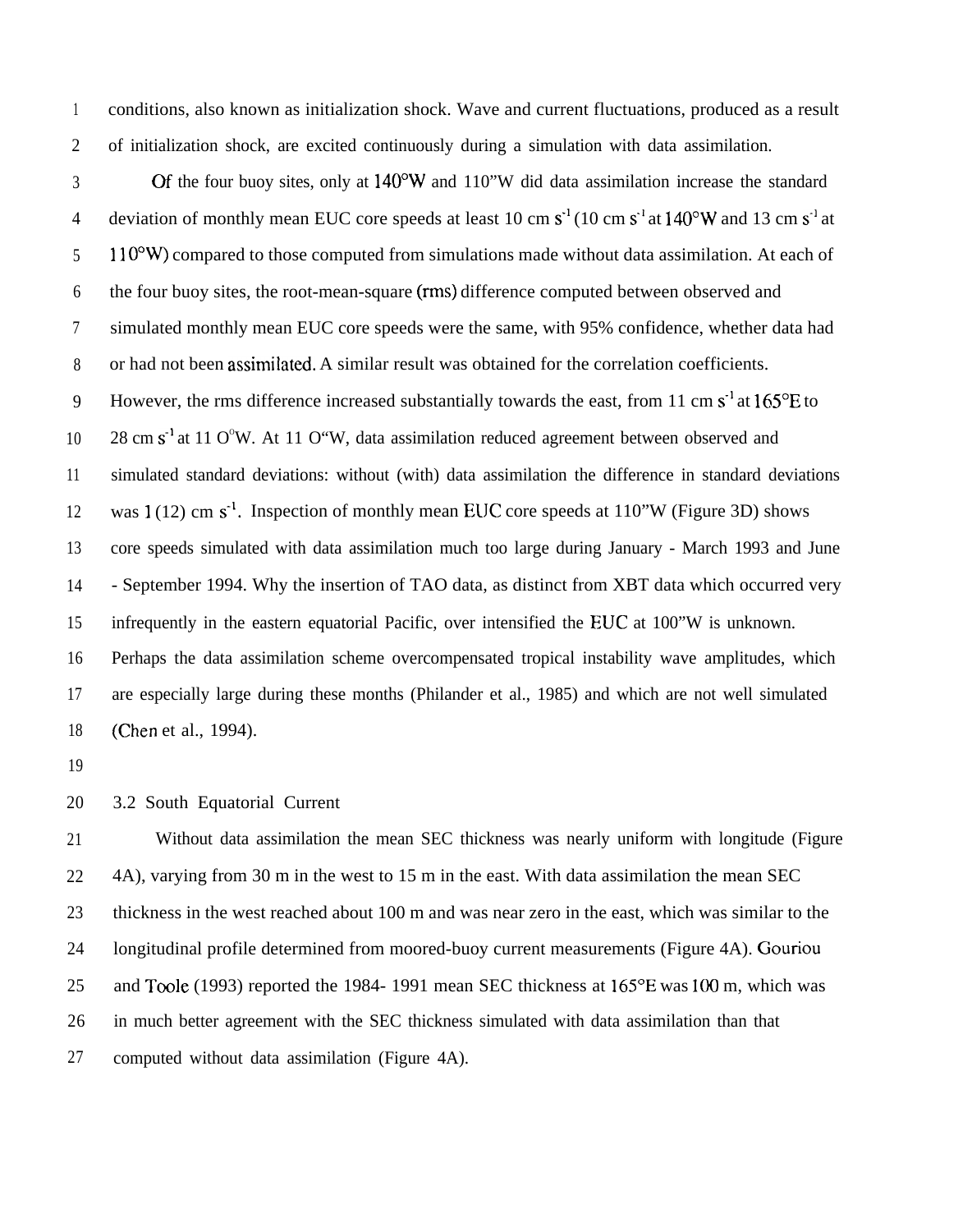1 2 conditions, also known as initialization shock. Wave and current fluctuations, produced as a result of initialization shock, are excited continuously during a simulation with data assimilation.

3 4 5 6 7 8 9 10 11 12 13 14 15 16 17 18 Of the four buoy sites, only at 140°W and 110"W did data assimilation increase the standard deviation of monthly mean EUC core speeds at least 10 cm  $s<sup>-1</sup>$  (10 cm  $s<sup>-1</sup>$  at 140°W and 13 cm  $s<sup>-1</sup>$  at  $110^{\circ}$ W) compared to those computed from simulations made without data assimilation. At each of the four buoy sites, the root-mean-square (rms) difference computed between observed and simulated monthly mean EUC core speeds were the same, with 95% confidence, whether data had or had not been assitnilated. A similar result was obtained for the correlation coefficients. However, the rms difference increased substantially towards the east, from 11 cm  $s<sup>-1</sup>$  at 165 $\mathrm{^{\circ}E}$  to  $28 \text{ cm s}^{-1}$  at 11 O°W. At 11 O°W, data assimilation reduced agreement between observed and simulated standard deviations: without (with) data assimilation the difference in standard deviations was  $1(12)$  cm s<sup>-1</sup>. Inspection of monthly mean EUC core speeds at  $110$ "W (Figure 3D) shows core speeds simulated with data assimilation much too large during January - March 1993 and June - September 1994. Why the insertion of TAO data, as distinct from XBT data which occurred very infrequently in the eastern equatorial Pacific, over intensified the EUC at 100"W is unknown. Perhaps the data assimilation scheme overcompensated tropical instability wave amplitudes, which are especially large during these months (Philander et al., 1985) and which are not well simulated (Chen et al., 1994).

19

20 3.2 South Equatorial Current

21 22 23 24 25 26 27 Without data assimilation the mean SEC thickness was nearly uniform with longitude (Figure 4A), varying from 30 m in the west to 15 m in the east. With data assimilation the mean SEC thickness in the west reached about 100 m and was near zero in the east, which was similar to the longitudinal profile determined from moored-buoy current measurements (Figure 4A). Gouriou and Toole (1993) reported the 1984- 1991 mean SEC thickness at 165°E was 100 m, which was in much better agreement with the SEC thickness simulated with data assimilation than that computed without data assimilation (Figure 4A).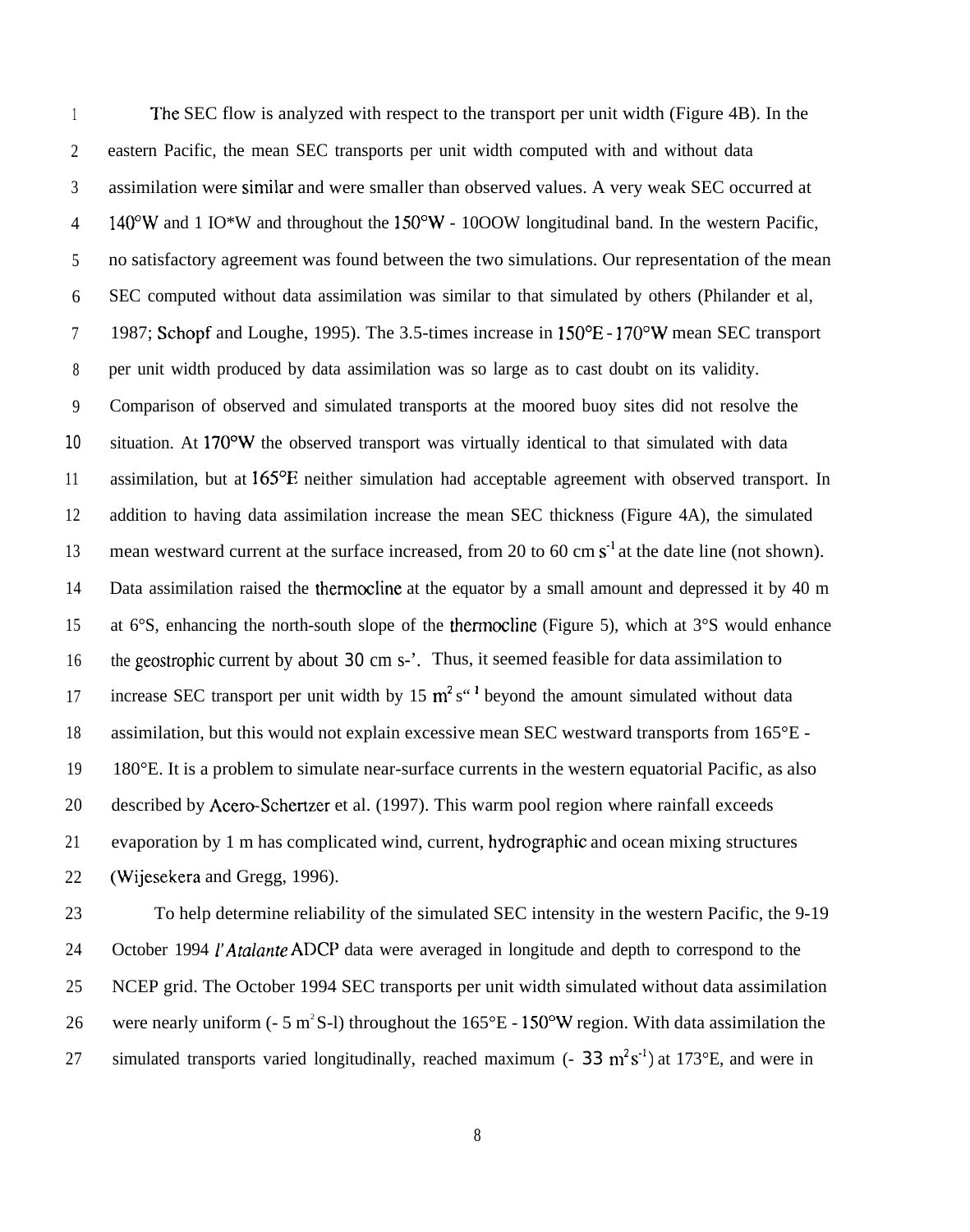1 2 3 4 5 6 7 8 9 10 11 12 13 14 15 16 17 18 19 20 21 22 The SEC flow is analyzed with respect to the transport per unit width (Figure 4B). In the eastern Pacific, the mean SEC transports per unit width computed with and without data assimilation were similar and were smaller than observed values. A very weak SEC occurred at  $140^{\circ}$ W and 1 IO\*W and throughout the 150°W - 10OOW longitudinal band. In the western Pacific, no satisfactory agreement was found between the two simulations. Our representation of the mean SEC computed without data assimilation was similar to that simulated by others (Philander et al, 1987; Schopf and Loughe, 1995). The 3.5-times increase in 150°E - 170\*W mean SEC transport per unit width produced by data assimilation was so large as to cast doubt on its validity. Comparison of observed and simulated transports at the moored buoy sites did not resolve the situation. At 170°W the observed transport was virtually identical to that simulated with data assimilation, but at 165°E neither simulation had acceptable agreement with observed transport. In addition to having data assimilation increase the mean SEC thickness (Figure 4A), the simulated mean westward current at the surface increased, from 20 to 60 cm  $s<sup>-1</sup>$  at the date line (not shown). Data assimilation raised the thermocline at the equator by a small amount and depressed it by 40 m at 6°S, enhancing the north-south slope of the thermocline (Figure 5), which at 3°S would enhance the geostrophic current by about 30 cm s-'. Thus, it seemed feasible for data assimilation to increase SEC transport per unit width by 15  $m^2 s''$  beyond the amount simulated without data assimilation, but this would not explain excessive mean SEC westward transports from 165°E - 180°E. It is a problem to simulate near-surface currents in the western equatorial Pacific, as also described by Acero-Schertzer et al. (1997). This warm pool region where rainfall exceeds evaporation by 1 m has complicated wind, current, hydrographic and ocean mixing structures (Wijesekera and Gregg, 1996).

23 24 25 26 27 To help determine reliability of the simulated SEC intensity in the western Pacific, the 9-19 October 1994 *1'Atalanre* ADCP data were averaged in longitude and depth to correspond to the NCEP grid. The October 1994 SEC transports per unit width simulated without data assimilation were nearly uniform (- 5 m<sup>2</sup>S-l) throughout the  $165^{\circ}E - 150^{\circ}W$  region. With data assimilation the simulated transports varied longitudinally, reached maximum  $(-33 \text{ m}^2 \text{s}^{-1})$  at 173°E, and were in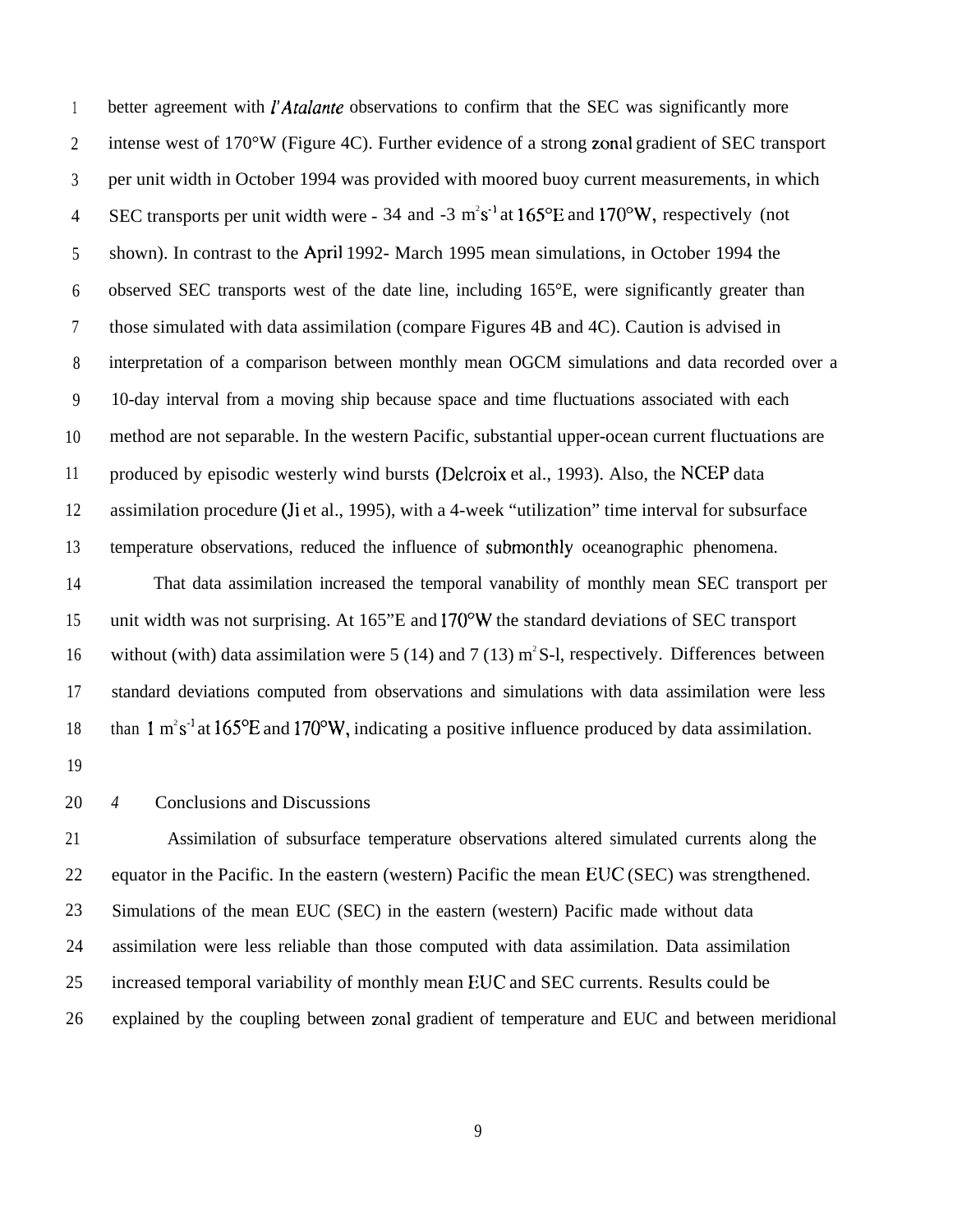1 2 3 4 5 6 7 8 9 10 11 12 13 14 15 16 17 better agreement with *l'Afalante* observations to confirm that the SEC was significantly more intense west of 170°W (Figure 4C). Further evidence of a strong zonal gradient of SEC transport per unit width in October 1994 was provided with moored buoy current measurements, in which SEC transports per unit width were - 34 and -3  $m^2s^{-1}$  at 165 $^{\circ}$ E and 170 $^{\circ}$ W, respectively (not shown). In contrast to the April 1992- March 1995 mean simulations, in October 1994 the observed SEC transports west of the date line, including 165°E, were significantly greater than those simulated with data assimilation (compare Figures 4B and 4C). Caution is advised in interpretation of a comparison between monthly mean OGCM simulations and data recorded over a 10-day interval from a moving ship because space and time fluctuations associated with each method are not separable. In the western Pacific, substantial upper-ocean current fluctuations are produced by episodic westerly wind bursts (Delcroix et al., 1993). Also, the NCEP data assimilation procedure (Ji et al., 1995), with a 4-week "utilization" time interval for subsurface temperature observations, reduced the influence of submonthly oceanographic phenomena. That data assimilation increased the temporal vanability of monthly mean SEC transport per unit width was not surprising. At 165"E and 170°W the standard deviations of SEC transport without (with) data assimilation were 5 (14) and 7 (13)  $m^2S$ -l, respectively. Differences between standard deviations computed from observations and simulations with data assimilation were less

18 than 1 m<sup>2</sup>s<sup>-1</sup> at 165°E and 170°W, indicating a positive influence produced by data assimilation.

19

## 20 *4* Conclusions and Discussions

21 22 23 24 25 26 Assimilation of subsurface temperature observations altered simulated currents along the equator in the Pacific. In the eastern (western) Pacific the mean EUC (SEC) was strengthened. Simulations of the mean EUC (SEC) in the eastern (western) Pacific made without data assimilation were less reliable than those computed with data assimilation. Data assimilation increased temporal variability of monthly mean EUC and SEC currents. Results could be explained by the coupling between zonal gradient of temperature and EUC and between meridional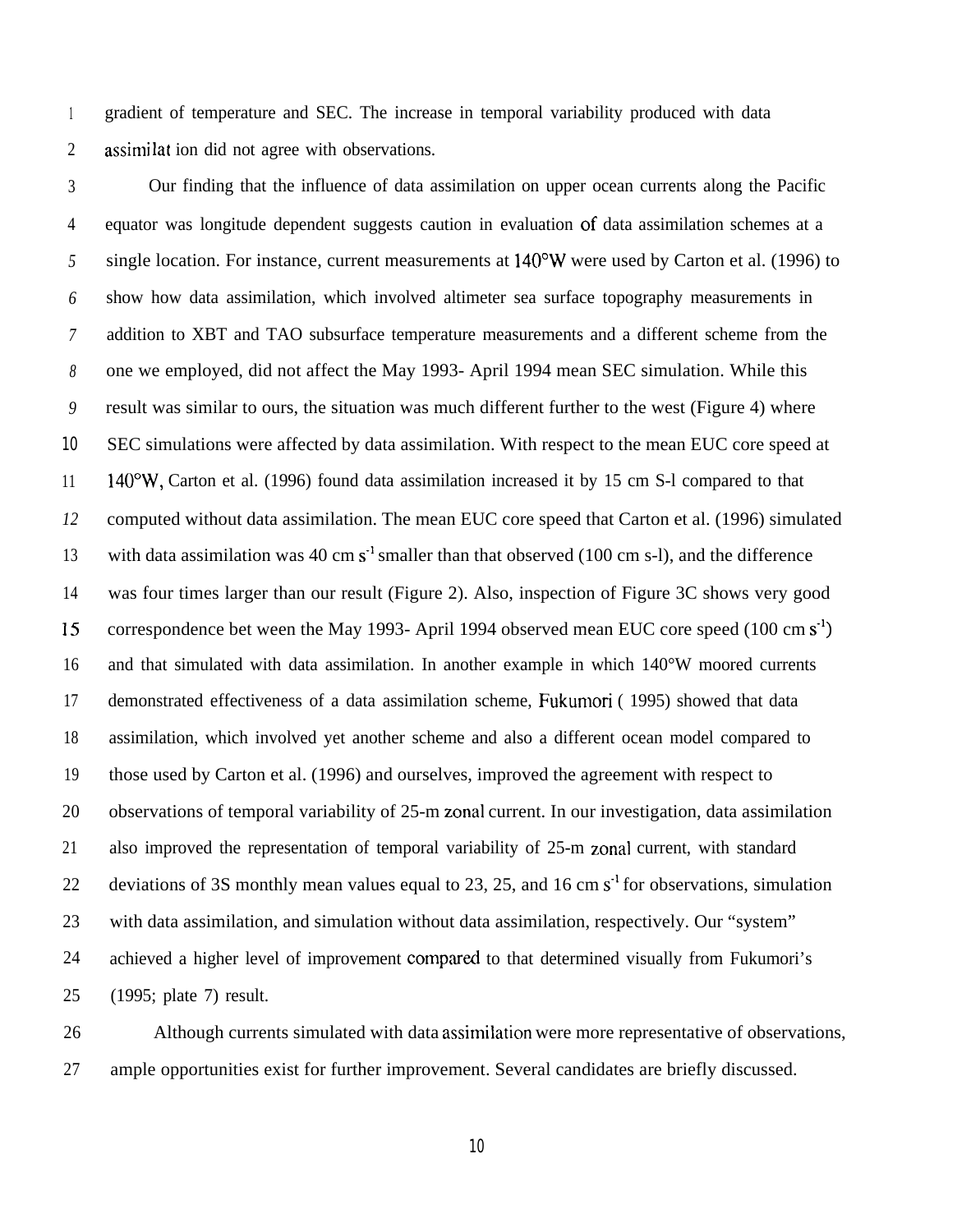1 2 gradient of temperature and SEC. The increase in temporal variability produced with data assirni lat ion did not agree with observations.

3 4 *5 6 7 8 9* 10 11 *12* 13 14 15 16 17 18 19 20 21 22 23 24 25 Our finding that the influence of data assimilation on upper ocean currents along the Pacific equator was longitude dependent suggests caution in evaluation of data assimilation schemes at a single location. For instance, current measurements at 140"W were used by Carton et al. (1996) to show how data assimilation, which involved altimeter sea surface topography measurements in addition to XBT and TAO subsurface temperature measurements and a different scheme from the one we employed, did not affect the May 1993- April 1994 mean SEC simulation. While this result was similar to ours, the situation was much different further to the west (Figure 4) where SEC simulations were affected by data assimilation. With respect to the mean EUC core speed at 140"W, Carton et al. (1996) found data assimilation increased it by 15 cm S-l compared to that computed without data assimilation. The mean EUC core speed that Carton et al. (1996) simulated with data assimilation was 40 cm  $s<sup>-1</sup>$  smaller than that observed (100 cm s-l), and the difference was four times larger than our result (Figure 2). Also, inspection of Figure 3C shows very good correspondence bet ween the May 1993- April 1994 observed mean EUC core speed  $(100 \text{ cm s}^3)$ and that simulated with data assimilation. In another example in which 140°W moored currents demonstrated effectiveness of a data assimilation scheme, Fukumori ( 1995) showed that data assimilation, which involved yet another scheme and also a different ocean model compared to those used by Carton et al. (1996) and ourselves, improved the agreement with respect to observations of temporal variability of 25-m zonal current. In our investigation, data assimilation also improved the representation of temporal variability of 25-m zonal current, with standard deviations of 3S monthly mean values equal to 23, 25, and 16 cm  $s<sup>1</sup>$  for observations, simulation with data assimilation, and simulation without data assimilation, respectively. Our "system" achieved a higher level of improvement compared to that determined visually from Fukumori's (1995; plate 7) result.

26 27 Although currents simulated with data assimilation were more representative of observations, ample opportunities exist for further improvement. Several candidates are briefly discussed.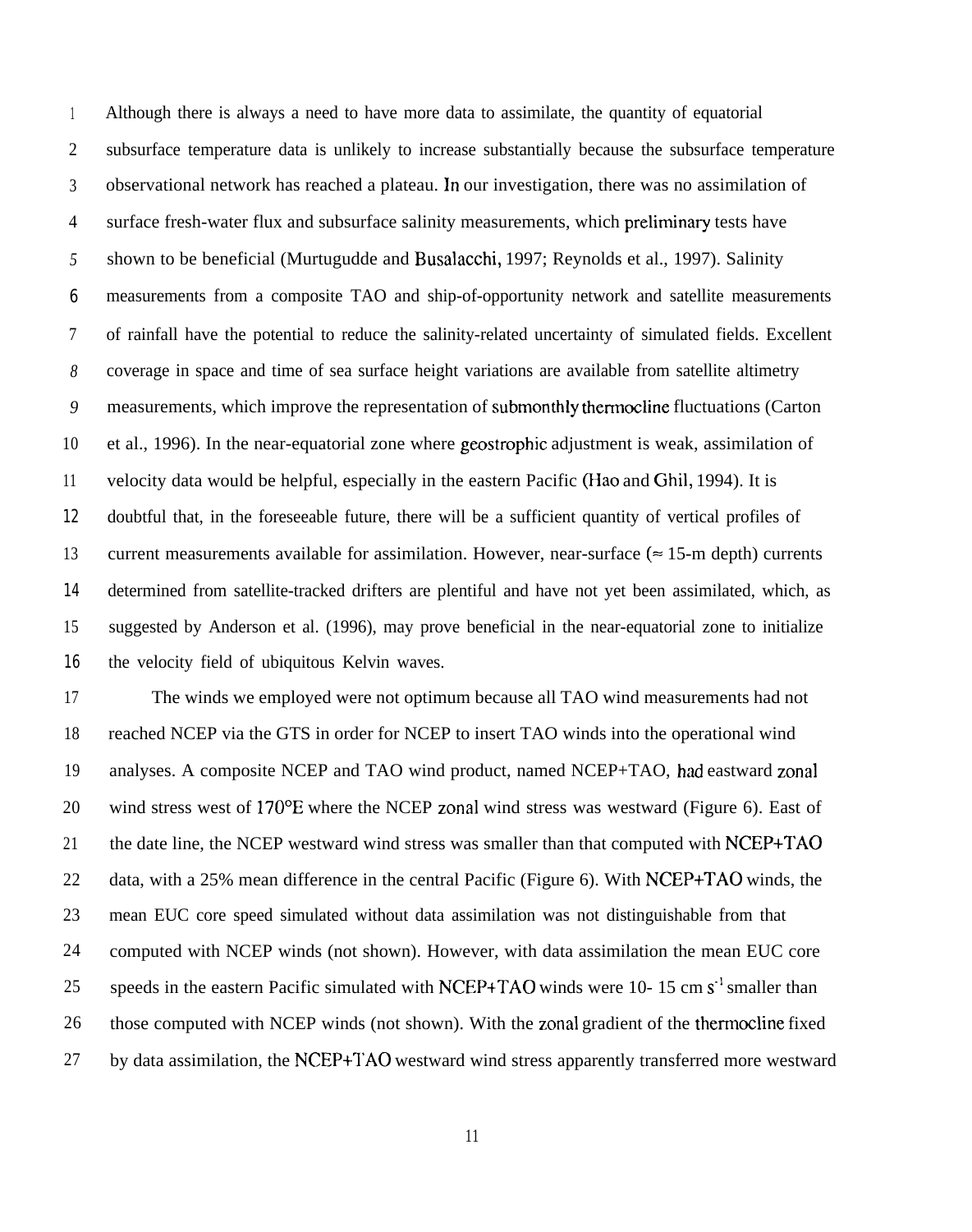1 2 3 4 *5* 6 7 *8 9* 10 11 12 13 14 15 16 Although there is always a need to have more data to assimilate, the quantity of equatorial subsurface temperature data is unlikely to increase substantially because the subsurface temperature observational network has reached a plateau. In our investigation, there was no assimilation of surface fresh-water flux and subsurface salinity measurements, which preliminary tests have shown to be beneficial (Murtugudde and Busalacchi, 1997; Reynolds et al., 1997). Salinity measurements from a composite TAO and ship-of-opportunity network and satellite measurements of rainfall have the potential to reduce the salinity-related uncertainty of simulated fields. Excellent coverage in space and time of sea surface height variations are available from satellite altimetry measurements, which improve the representation of submonthly thermocline fluctuations (Carton et al., 1996). In the near-equatorial zone where geostrophic adjustment is weak, assimilation of velocity data would be helpful, especially in the eastern Pacific (Hao and Ghil, 1994). It is doubtful that, in the foreseeable future, there will be a sufficient quantity of vertical profiles of current measurements available for assimilation. However, near-surface ( $\approx$  15-m depth) currents determined from satellite-tracked drifters are plentiful and have not yet been assimilated, which, as suggested by Anderson et al. (1996), may prove beneficial in the near-equatorial zone to initialize the velocity field of ubiquitous Kelvin waves.

17 18 19 20 21 22 23 24 25 26 27 The winds we employed were not optimum because all TAO wind measurements had not reached NCEP via the GTS in order for NCEP to insert TAO winds into the operational wind analyses. A composite NCEP and TAO wind product, named NCEP+TAO, had eastward zonal wind stress west of 170°E where the NCEP zonal wind stress was westward (Figure 6). East of the date line, the NCEP westward wind stress was smaller than that computed with NCEP+TAO data, with a 25% mean difference in the central Pacific (Figure 6). With NCEP+TAO winds, the mean EUC core speed simulated without data assimilation was not distinguishable from that computed with NCEP winds (not shown). However, with data assimilation the mean EUC core speeds in the eastern Pacific simulated with NCEP+TAO winds were 10- 15 cm  $s<sup>-1</sup>$  smaller than those computed with NCEP winds (not shown). With the zonal gradient of the thermocline fixed by data assimilation, the NCEP+TAO westward wind stress apparently transferred more westward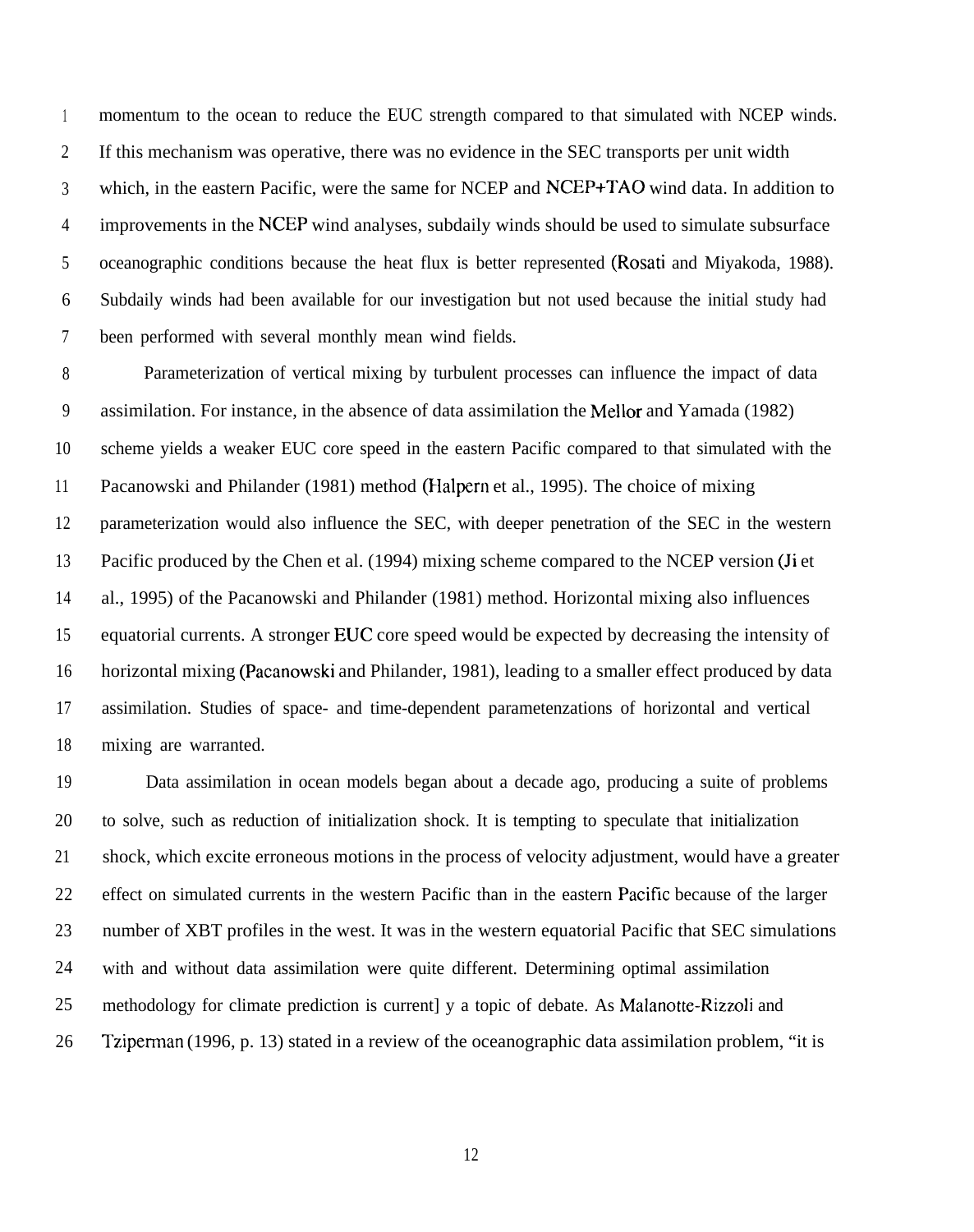1 2 3 4 5 6 7 momentum to the ocean to reduce the EUC strength compared to that simulated with NCEP winds. If this mechanism was operative, there was no evidence in the SEC transports per unit width which, in the eastern Pacific, were the same for NCEP and NCEP+TAO wind data. In addition to improvements in the NCEP wind analyses, subdaily winds should be used to simulate subsurface oceanographic conditions because the heat flux is better represented (Rosati and Miyakoda, 1988). Subdaily winds had been available for our investigation but not used because the initial study had been performed with several monthly mean wind fields.

8 9 10 11 12 13 14 15 16 17 18 Parameterization of vertical mixing by turbulent processes can influence the impact of data assimilation. For instance, in the absence of data assimilation the Mellor and Yamada (1982) scheme yields a weaker EUC core speed in the eastern Pacific compared to that simulated with the Pacanowski and Philander (1981) method (Halpern et al., 1995). The choice of mixing parameterization would also influence the SEC, with deeper penetration of the SEC in the western Pacific produced by the Chen et al. (1994) mixing scheme compared to the NCEP version (Ji et al., 1995) of the Pacanowski and Philander (1981) method. Horizontal mixing also influences equatorial currents. A stronger EUC core speed would be expected by decreasing the intensity of horizontal mixing (Pacanowski and Philander, 1981), leading to a smaller effect produced by data assimilation. Studies of space- and time-dependent parametenzations of horizontal and vertical mixing are warranted.

19 20 21 22 23 24 25 26 Data assimilation in ocean models began about a decade ago, producing a suite of problems to solve, such as reduction of initialization shock. It is tempting to speculate that initialization shock, which excite erroneous motions in the process of velocity adjustment, would have a greater effect on simulated currents in the western Pacific than in the eastern Pacific because of the larger number of XBT profiles in the west. It was in the western equatorial Pacific that SEC simulations with and without data assimilation were quite different. Determining optimal assimilation methodology for climate prediction is current] y a topic of debate. As Malanotte-Rizzoli and Tziperman (1996, p. 13) stated in a review of the oceanographic data assimilation problem, "it is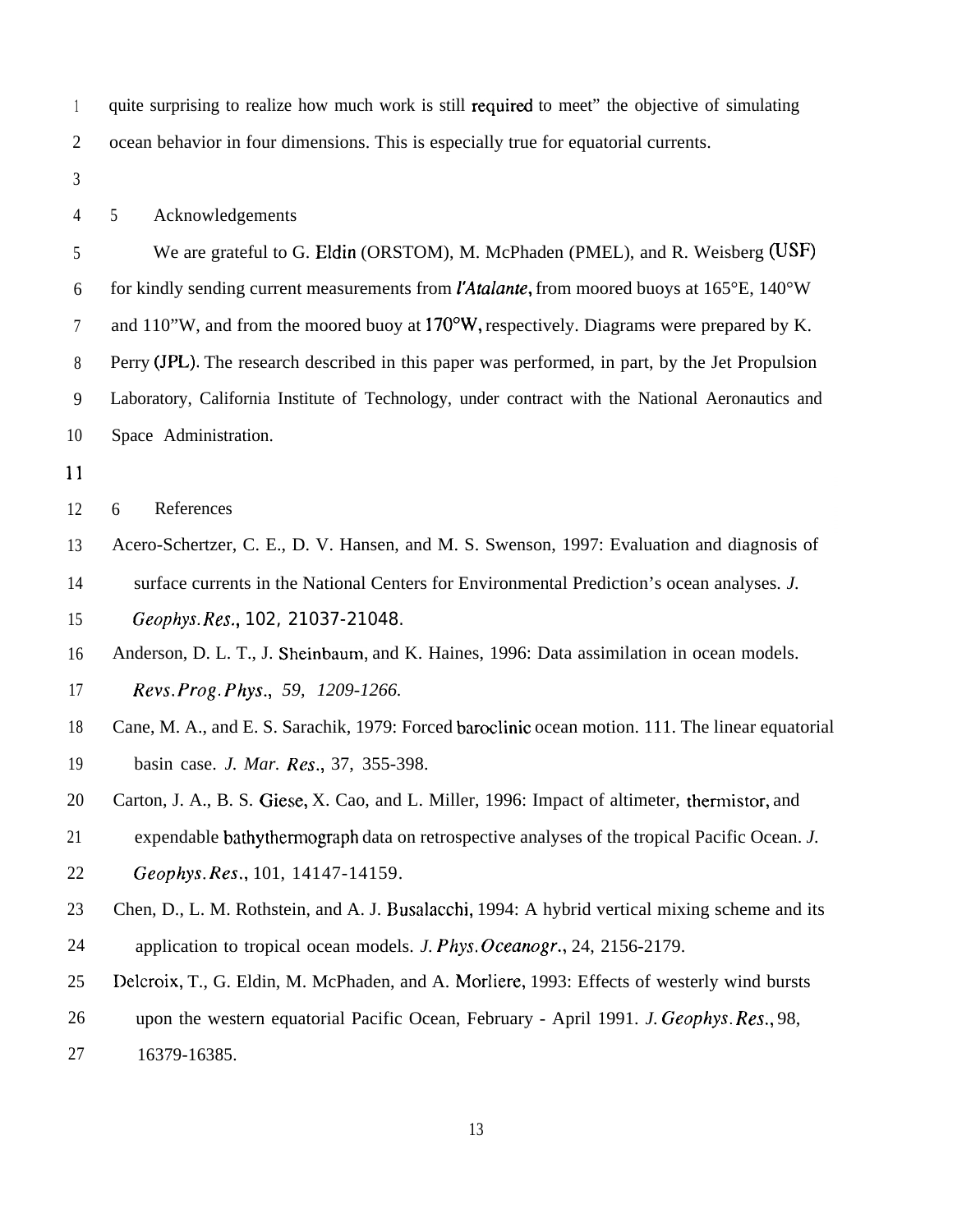1 2 quite surprising to realize how much work is still required to meet" the objective of simulating ocean behavior in four dimensions. This is especially true for equatorial currents.

3

4

5 Acknowledgements

5 6 7 8 9 10 We are grateful to G. Eldin (ORSTOM), M. McPhaden (PMEL), and R. Weisberg (USF) for kindly sending current measurements from *l'Atulante,* from moored buoys at 165°E, 140°W and 110"W, and from the moored buoy at 170"W, respectively. Diagrams were prepared by K. Perry (JPL). The research described in this paper was performed, in part, by the Jet Propulsion Laboratory, California Institute of Technology, under contract with the National Aeronautics and Space Administration.

11

12 6 References

13 Acero-Schertzer, C. E., D. V. Hansen, and M. S. Swenson, 1997: Evaluation and diagnosis of

14 surface currents in the National Centers for Environmental Prediction's ocean analyses. *J.*

15 *Geophys. Res.,* 102, 21037-21048.

16 17 Anderson, D. L. T., J. Sheinbaum, and K. Haines, 1996: Data assimilation in ocean models. Revs. *Prog. Phys., 59, 1209-1266.*

18 19 Cane, M. A., and E. S. Sarachik, 1979: Forced baroclinic ocean motion. 111. The linear equatorial basin case. *J. Mar. Res.,* 37, 355-398.

20 Carton, J. A., B. S. Giese, X. Cao, and L. Miller, 1996: Impact of altimeter, thermistor, and

21 expendable bathythermograph data on retrospective analyses of the tropical Pacific Ocean. *J.*

22 *Geophys. Res.,* 101, 14147-14159.

23 24 Chen, D., L. M. Rothstein, and A. J. Busalacchi, 1994: A hybrid vertical mixing scheme and its application to tropical ocean models. *J. Phys. Oceanogr.*, 24, 2156-2179.

25 Delcroix, T., G. Eldin, M. McPhaden, and A. Morliere, 1993: Effects of westerly wind bursts

26 upon the western equatorial Pacific Ocean, February - April 1991. *J. Geophys. Res.,* 98,

27 16379-16385.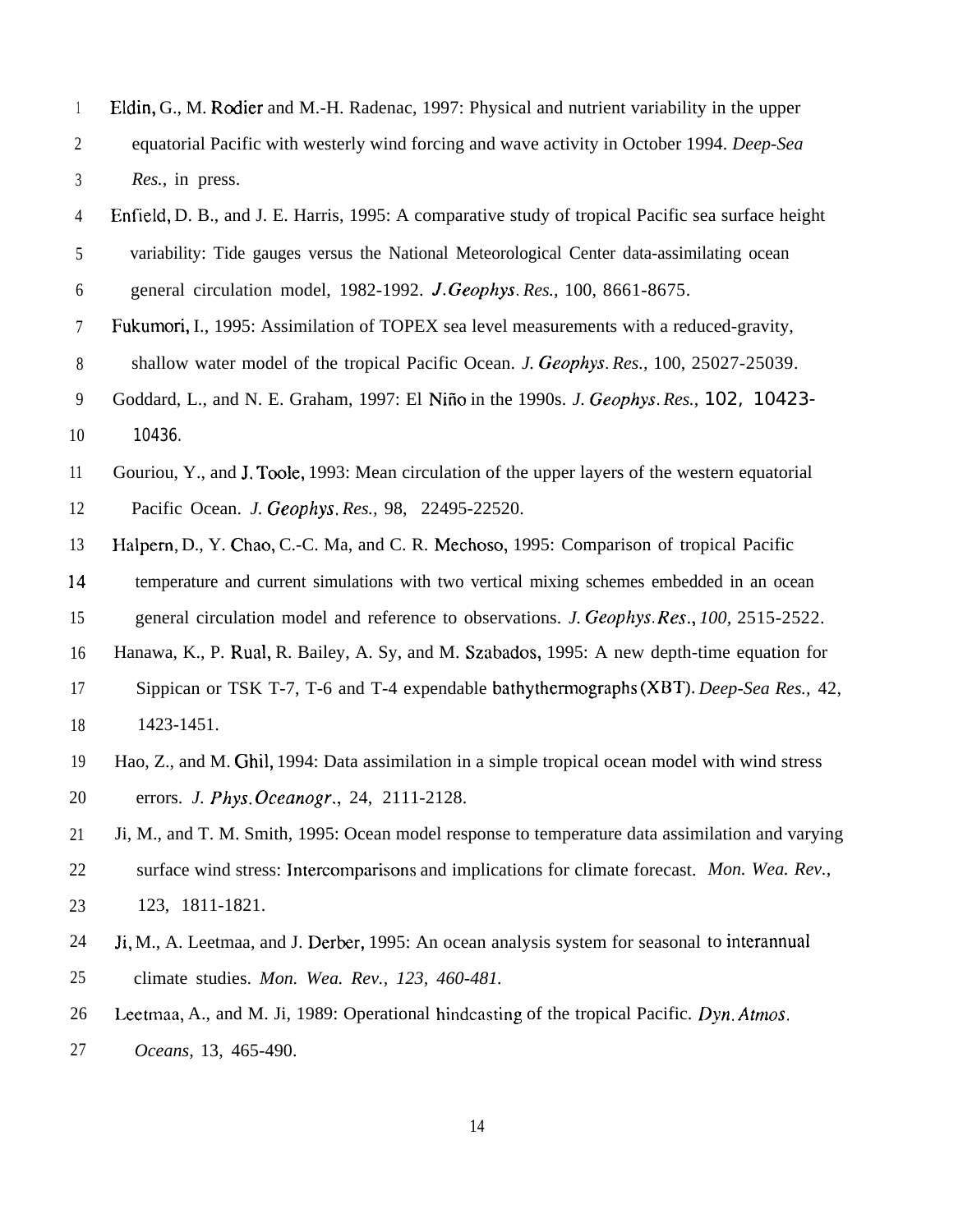| 1                | Eldin, G., M. Rodier and M.-H. Radenac, 1997: Physical and nutrient variability in the upper       |
|------------------|----------------------------------------------------------------------------------------------------|
| $\overline{2}$   | equatorial Pacific with westerly wind forcing and wave activity in October 1994. Deep-Sea          |
| 3                | Res., in press.                                                                                    |
| 4                | Enfield, D. B., and J. E. Harris, 1995: A comparative study of tropical Pacific sea surface height |
| 5                | variability: Tide gauges versus the National Meteorological Center data-assimilating ocean         |
| 6                | general circulation model, 1982-1992. J. Geophys. Res., 100, 8661-8675.                            |
| 7                | Fukumori, I., 1995: Assimilation of TOPEX sea level measurements with a reduced-gravity,           |
| $\,8\,$          | shallow water model of the tropical Pacific Ocean. J. Geophys. Res., 100, 25027-25039.             |
| $\boldsymbol{9}$ | Goddard, L., and N. E. Graham, 1997: El Niño in the 1990s. J. Geophys. Res., 102, 10423-           |
| 10               | 10436.                                                                                             |
| 11               | Gouriou, Y., and J. Toole, 1993: Mean circulation of the upper layers of the western equatorial    |
| 12               | Pacific Ocean. J. Geophys. Res., 98, 22495-22520.                                                  |
| 13               | Halpern, D., Y. Chao, C.-C. Ma, and C. R. Mechoso, 1995: Comparison of tropical Pacific            |
| 14               | temperature and current simulations with two vertical mixing schemes embedded in an ocean          |
| 15               | general circulation model and reference to observations. J. Geophys. Res., 100, 2515-2522.         |
| 16               | Hanawa, K., P. Rual, R. Bailey, A. Sy, and M. Szabados, 1995: A new depth-time equation for        |
| 17               | Sippican or TSK T-7, T-6 and T-4 expendable bathythermographs (XBT). Deep-Sea Res., 42,            |
| 18               | 1423-1451.                                                                                         |
| 19               | Hao, Z., and M. Ghil, 1994: Data assimilation in a simple tropical ocean model with wind stress    |
| 20               | errors. J. Phys. Oceanogr., 24, 2111-2128.                                                         |
| 21               | Ji, M., and T. M. Smith, 1995: Ocean model response to temperature data assimilation and varying   |
| 22               | surface wind stress: Intercomparisons and implications for climate forecast. Mon. Wea. Rev.,       |
| 23               | 123, 1811-1821.                                                                                    |
| 24               | Ji, M., A. Leetmaa, and J. Derber, 1995: An ocean analysis system for seasonal to interannual      |
| 25               | climate studies. Mon. Wea. Rev., 123, 460-481.                                                     |
| 26               | Leetmaa, A., and M. Ji, 1989: Operational hindcasting of the tropical Pacific. Dyn. Atmos.         |
| 27               | Oceans, 13, 465-490.                                                                               |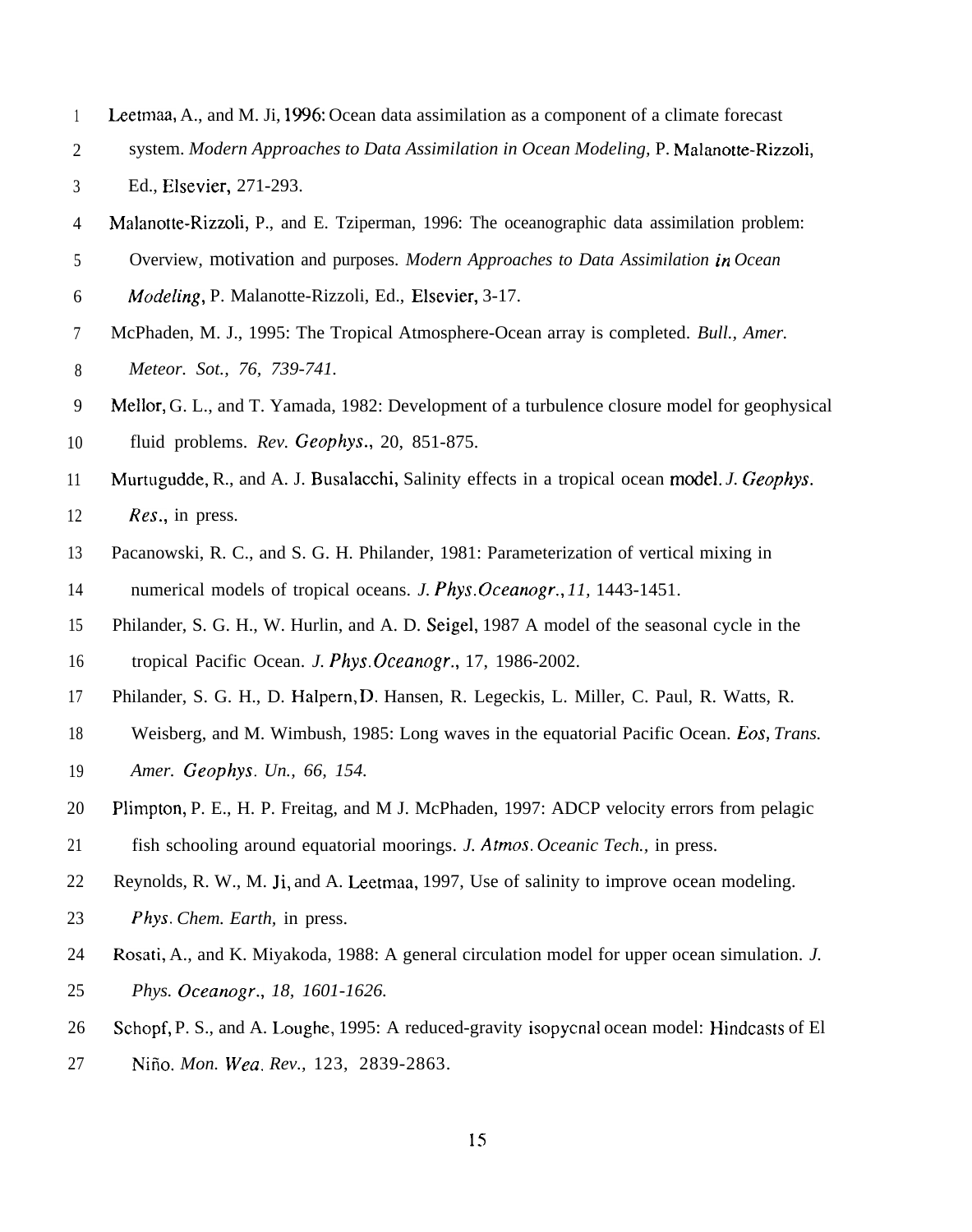- 1 Leetmaa, A., and M. Ji, 1996: Ocean data assimilation as a component of a climate forecast
- 2 system. *Modern Approaches to Data Assimilation in Ocean Modeling,* P. Malanotte-Rizzoli,
- 3 Ed., Elsevier, 271-293.
- 4 Malanotte-Rizzoli, P., and E. Tziperman, 1996: The oceanographic data assimilation problem:
- 5 Overview, motivation and purposes. *Modern Approaches to Data Assimilation in Ocean*
- 6 *A40defing,* P. Malanotte-Rizzoli, Ed., Elsevier, 3-17.
- 7 8 McPhaden, M. J., 1995: The Tropical Atmosphere-Ocean array is completed. *Bull., Amer. Meteor. Sot., 76, 739-741.*
- 9 10 Mellor, G. L., and T. Yamada, 1982: Development of a turbulence closure model for geophysical fluid problems. *Rev. Geophys.,* 20, 851-875.
- 11 12 Murtugudde, R., and A. J. Busalacchi, Salinity effects in a tropical ocean model. *J. Geophys. Res.,* in press.
- 13 14 Pacanowski, R. C., and S. G. H. Philander, 1981: Parameterization of vertical mixing in numerical models of tropical oceans. *J. Phys. Oceanogr., 11,* 1443-1451.
- 15 16 Philander, S. G. H., W. Hurlin, and A. D. Seigel, 1987 A model of the seasonal cycle in the tropical Pacific Ocean. *J. Phys. Ckeanogr.,* 17, 1986-2002.
- 17 Philander, S. G. H., D. Halpern, D. Hansen, R. Legeckis, L. Miller, C. Paul, R. Watts, R.
- 18 19 Weisberg, and M. Wimbush, 1985: Long waves in the equatorial Pacific Ocean. Eos, *Trans. Amer. Geophys. Un., 66, 154.*
- 20 Plimpton, P. E., H. P. Freitag, and M J. McPhaden, 1997: ADCP velocity errors from pelagic
- 21 fish schooling around equatorial moorings. *J. Afmos. Oceanic Tech.,* in press.
- 22 Reynolds, R. W., M. Ji, and A. Leetmaa, 1997, Use of salinity to improve ocean modeling.
- 23 *Phys. Chem. Earth,* in press.
- 24 25 Rosati, A., and K. Miyakoda, 1988: A general circulation model for upper ocean simulation. *J. Phys. Oceanogr., 18, 1601-1626.*
- 26 27 Schopf, P. S., and A. Loughe, 1995: A reduced-gravity isopycnal ocean model: Hindcasts of El Niño. Mon. Wea. Rev., 123, 2839-2863.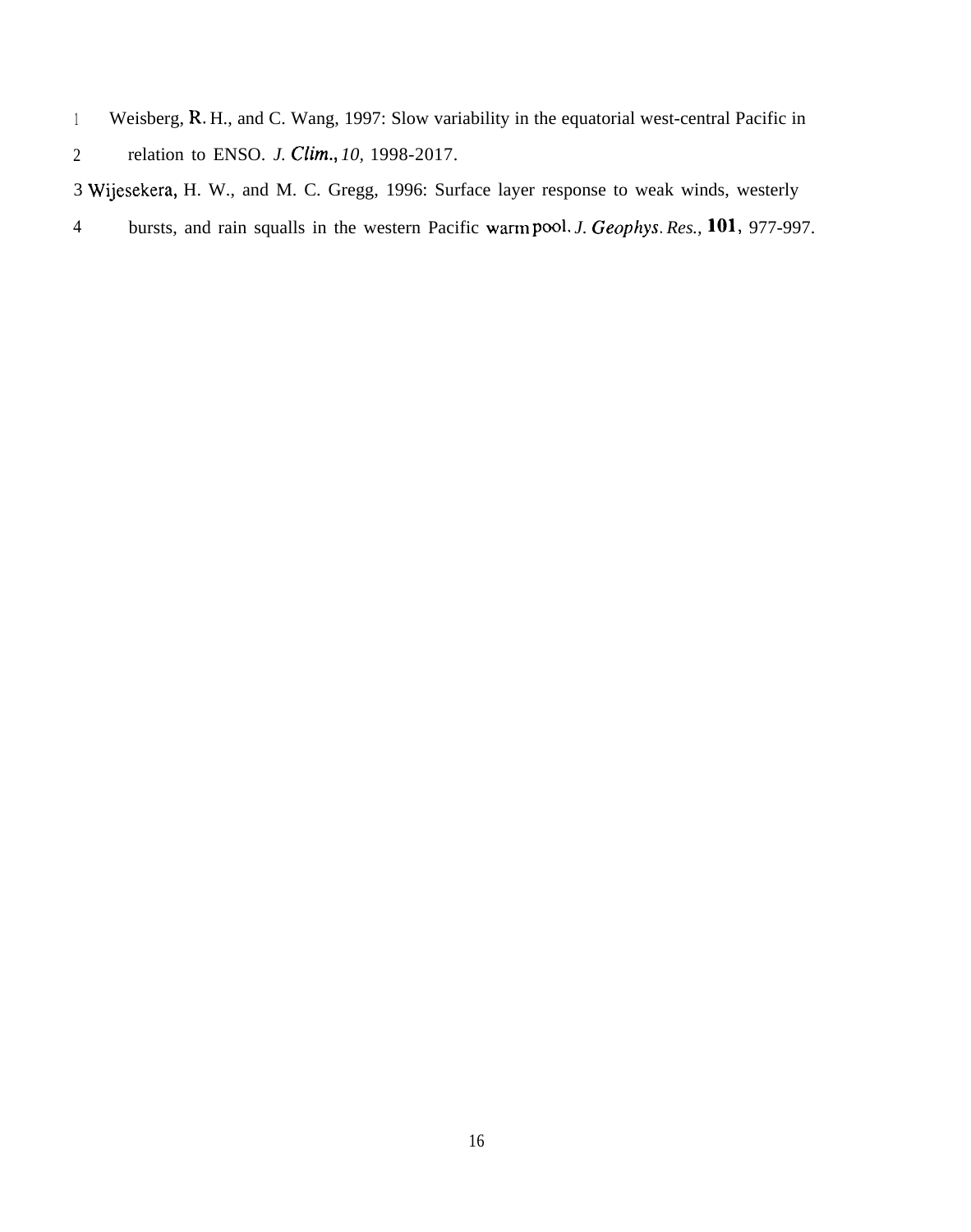<sup>1</sup> Weisberg, R. H., and C. Wang, 1997: Slow variability in the equatorial west-central Pacific in

3 Wijesekera, H. W., and M. C. Gregg, 1996: Surface layer response to weak winds, westerly

4 bursts, and rain squalls in the western Pacific warm pool. *J. Geophys. Res., 101,* 977-997.

<sup>2</sup> relation to ENSO. *J. Clim.*, 10, 1998-2017.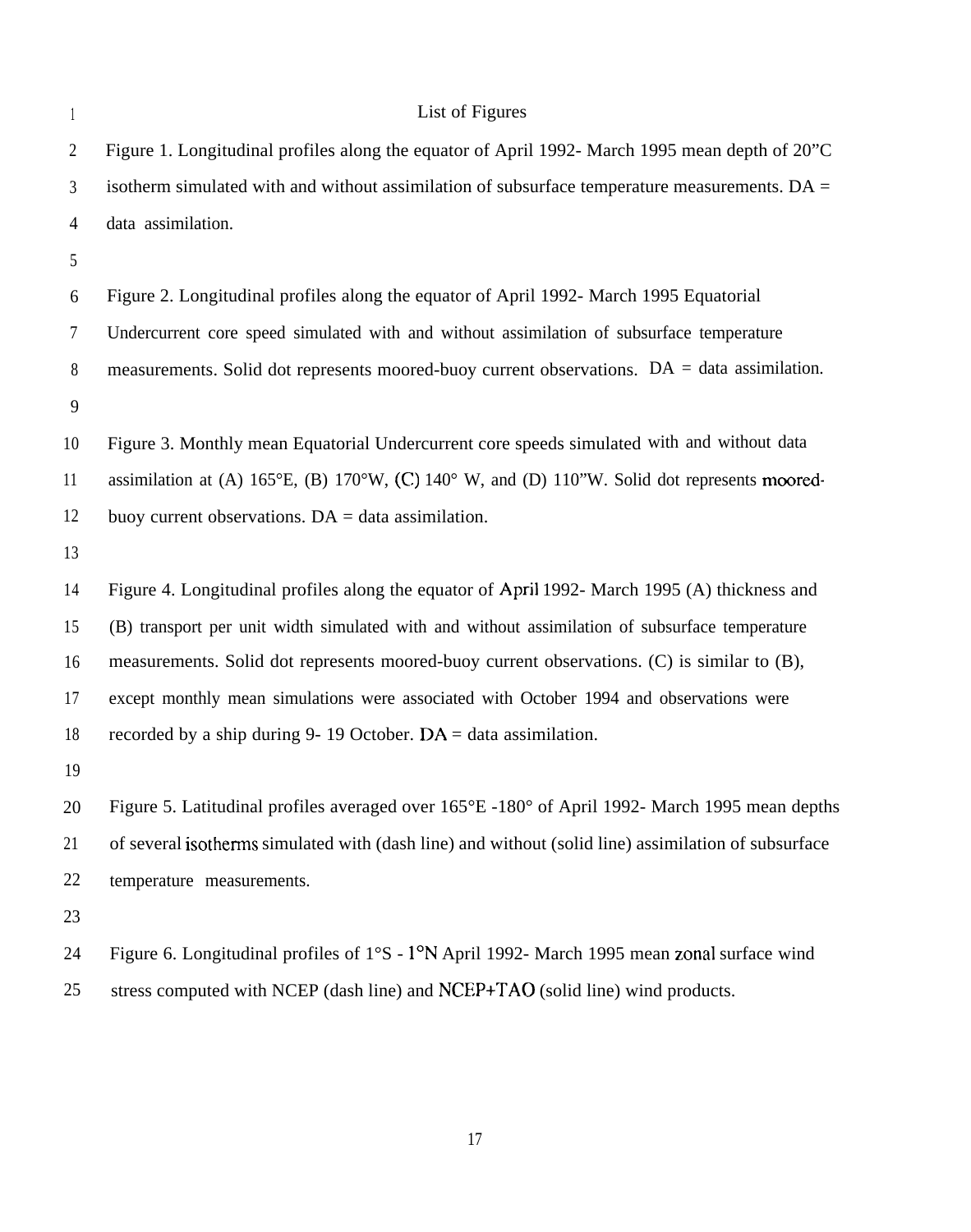1

## List of Figures

2 3 4 Figure 1. Longitudinal profiles along the equator of April 1992- March 1995 mean depth of 20"C isotherm simulated with and without assimilation of subsurface temperature measurements.  $DA =$ data assimilation.

5

6 7 8 9 Figure 2. Longitudinal profiles along the equator of April 1992- March 1995 Equatorial Undercurrent core speed simulated with and without assimilation of subsurface temperature measurements. Solid dot represents moored-buoy current observations. DA = data assimilation.

10 11 12 Figure 3. Monthly mean Equatorial Undercurrent core speeds simulated with and without data assimilation at (A) 165°E, (B) 170°W, (C) 140° W, and (D) 110"W. Solid dot represents mooredbuoy current observations.  $DA = data$  assimilation.

13

14 15 16 17 18 Figure 4. Longitudinal profiles along the equator of April 1992- March 1995 (A) thickness and (B) transport per unit width simulated with and without assimilation of subsurface temperature measurements. Solid dot represents moored-buoy current observations. (C) is similar to (B), except monthly mean simulations were associated with October 1994 and observations were recorded by a ship during 9- 19 October.  $DA = data$  assimilation.

19

20 21 22 Figure 5. Latitudinal profiles averaged over 165°E -180° of April 1992- March 1995 mean depths of several isothems simulated with (dash line) and without (solid line) assimilation of subsurface temperature measurements.

23

24 25 Figure 6. Longitudinal profiles of  $1^{\circ}S - 1^{\circ}N$  April 1992- March 1995 mean zonal surface wind stress computed with NCEP (dash line) and NCEP+TAO (solid line) wind products.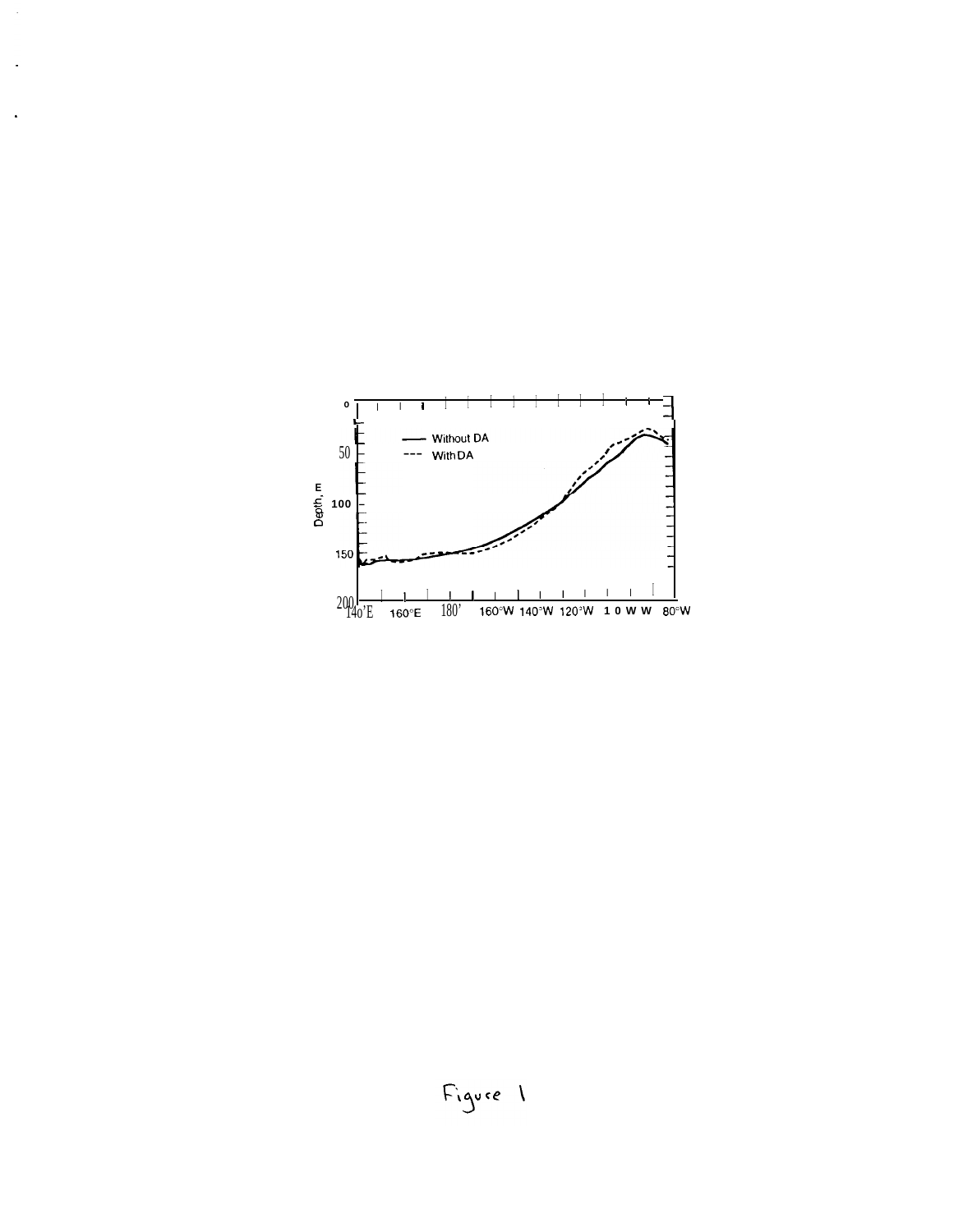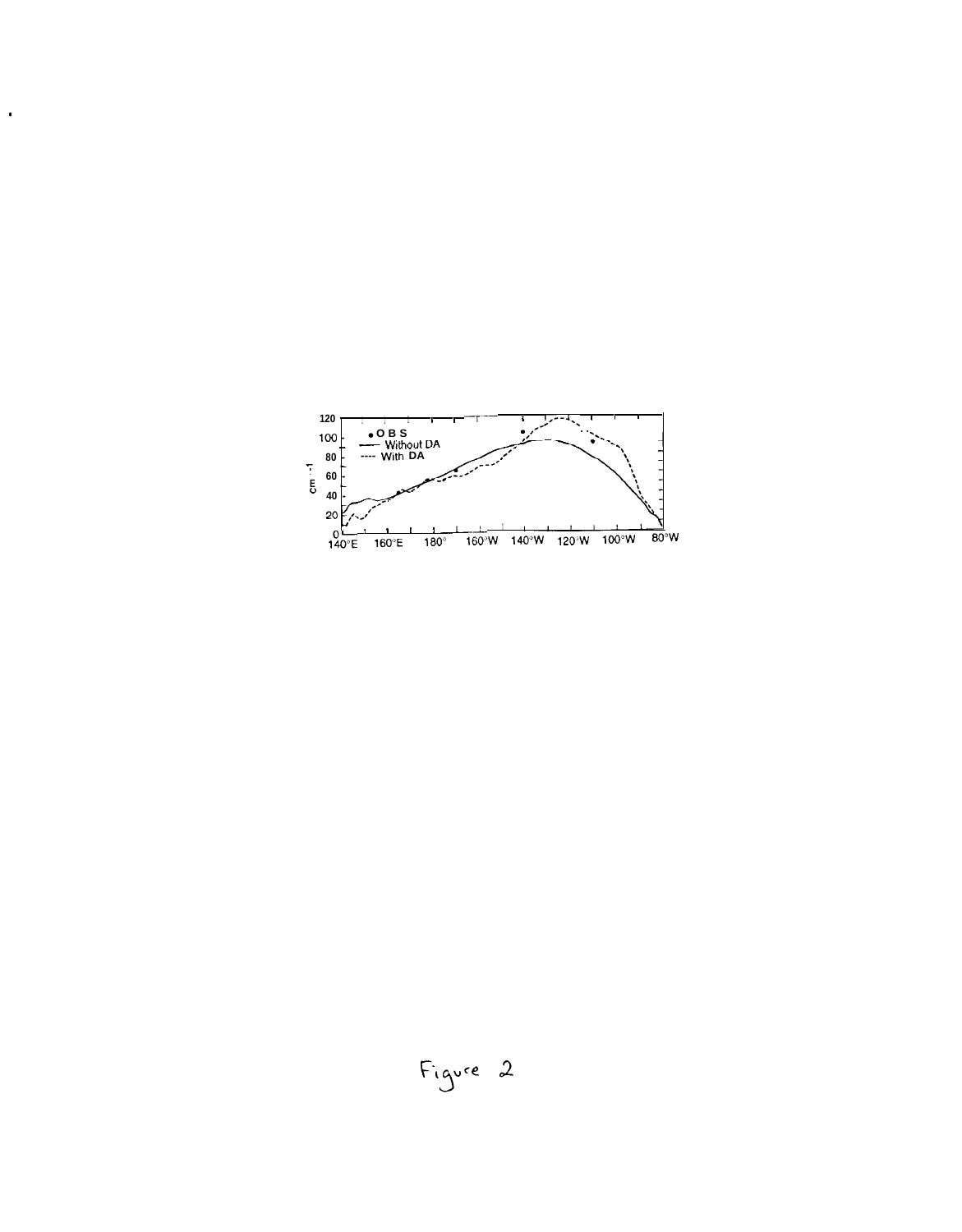

 $\bullet$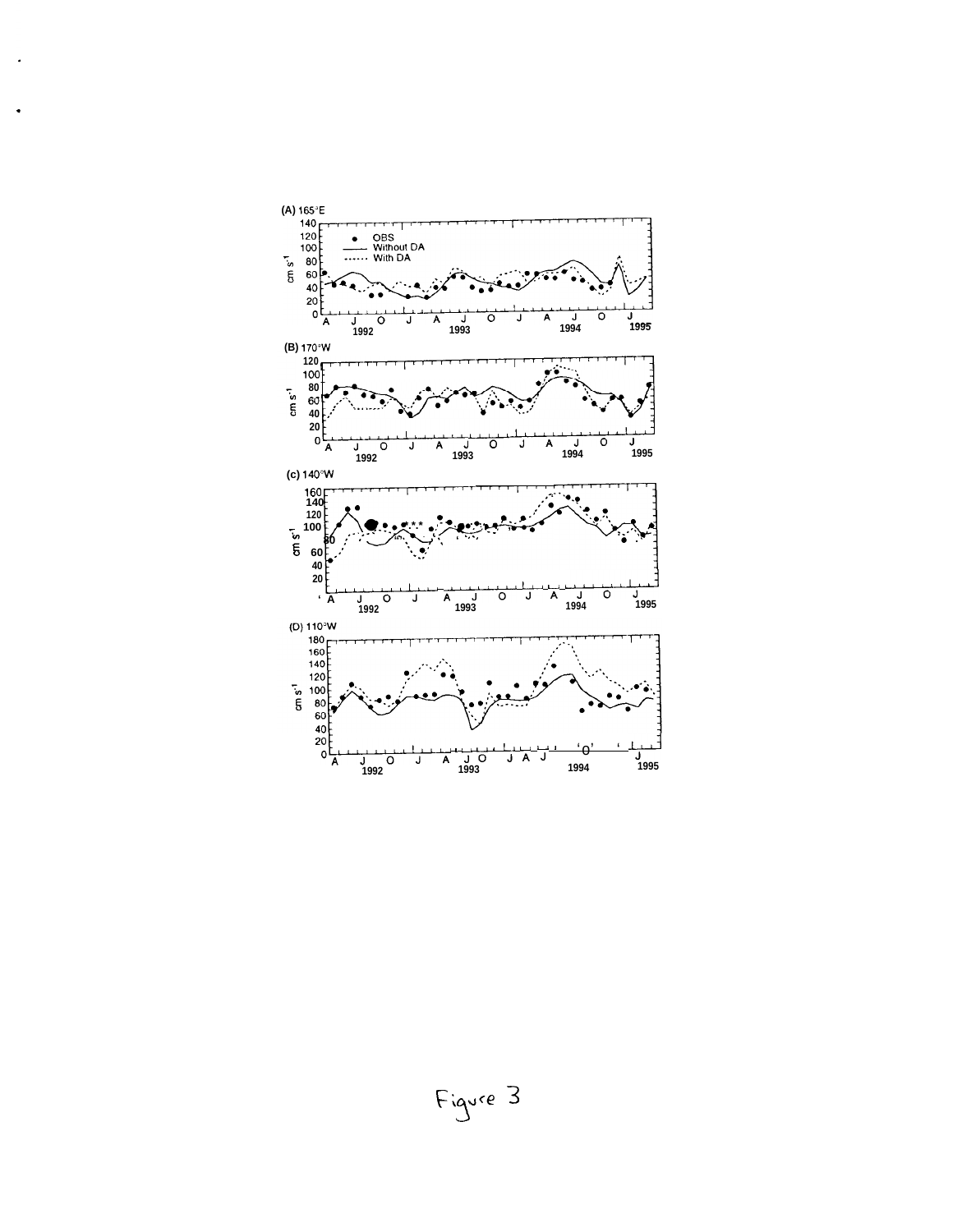

 $\ddot{\phantom{a}}$ 

Figure 3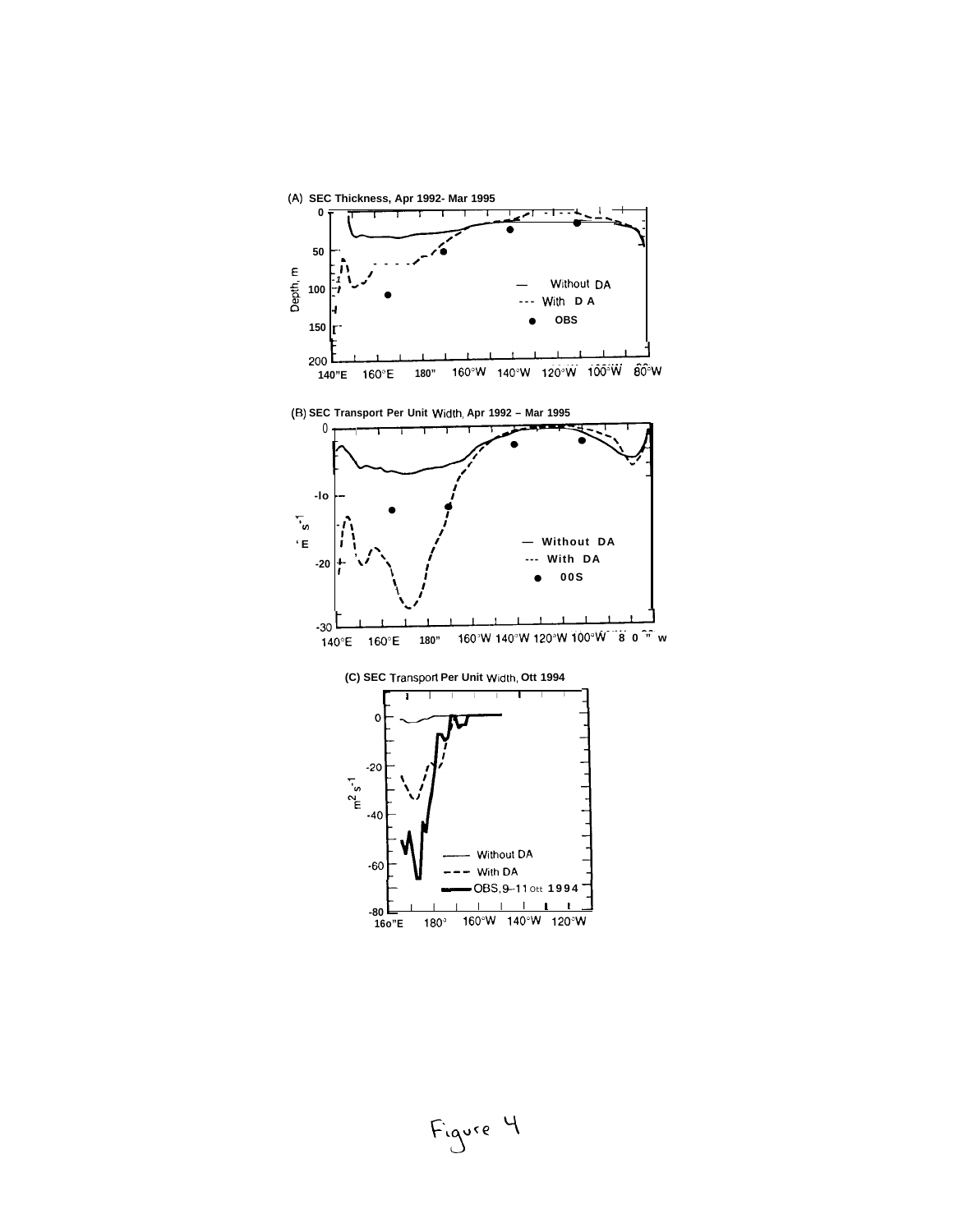

Figure 4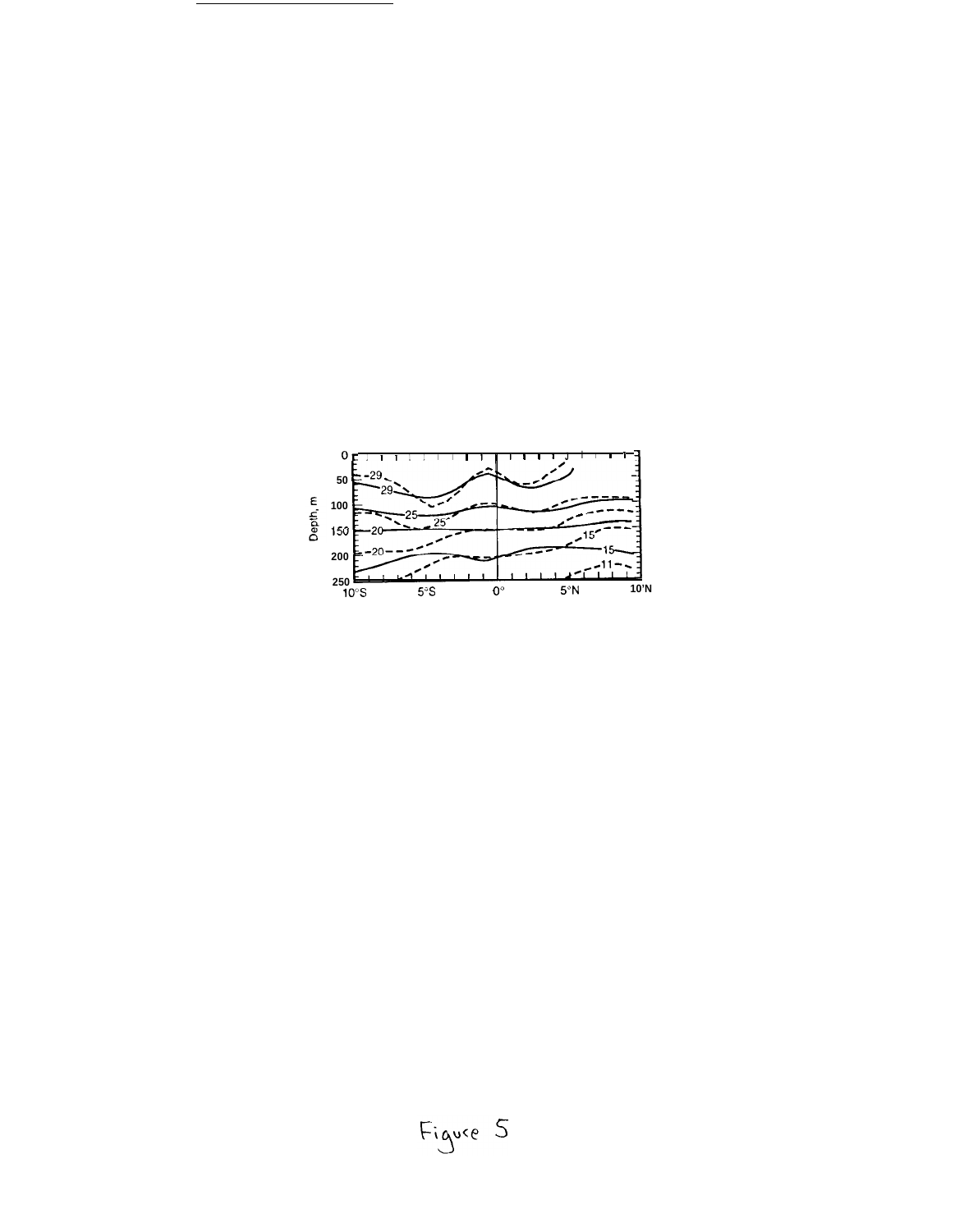